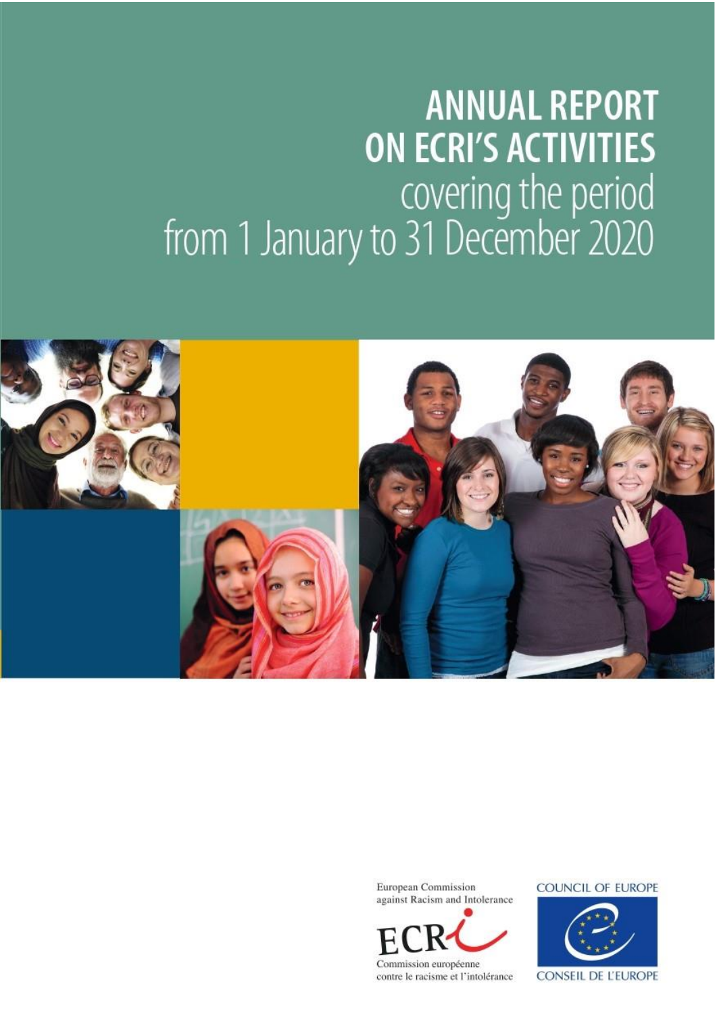# **ANNUAL REPORT ON ECRI'S ACTIVITIES** covering the period<br>from 1 January to 31 December 2020



European Commission against Racism and Intolerance



**COUNCIL OF EUROPE** 



**CONSEIL DE L'EUROPE**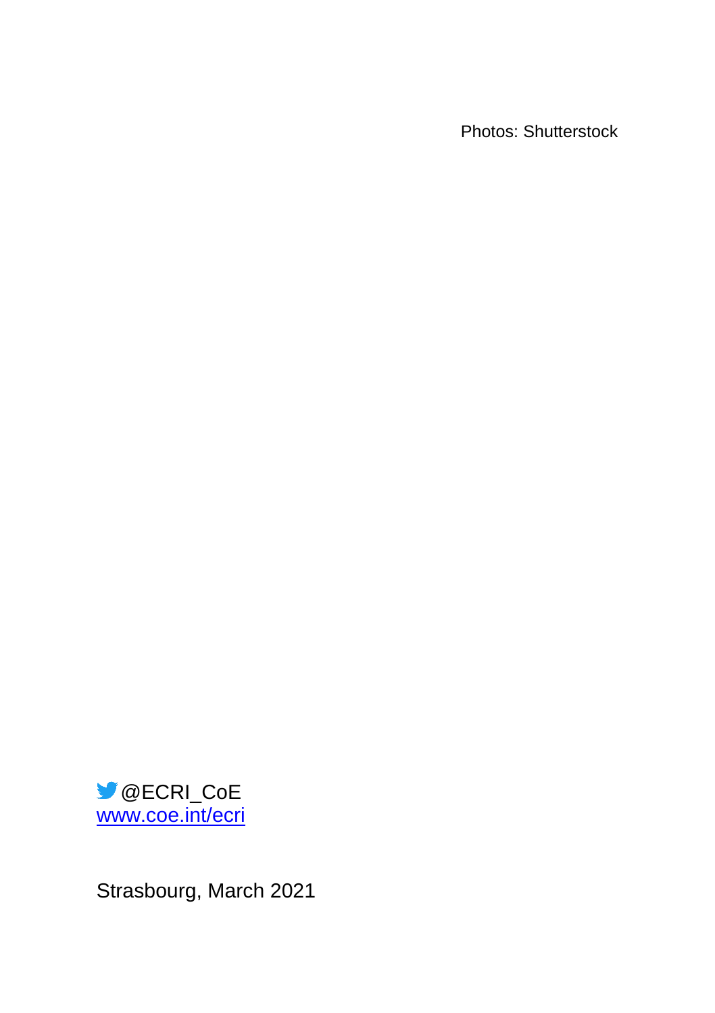Photos: Shutterstock



Strasbourg, March 2021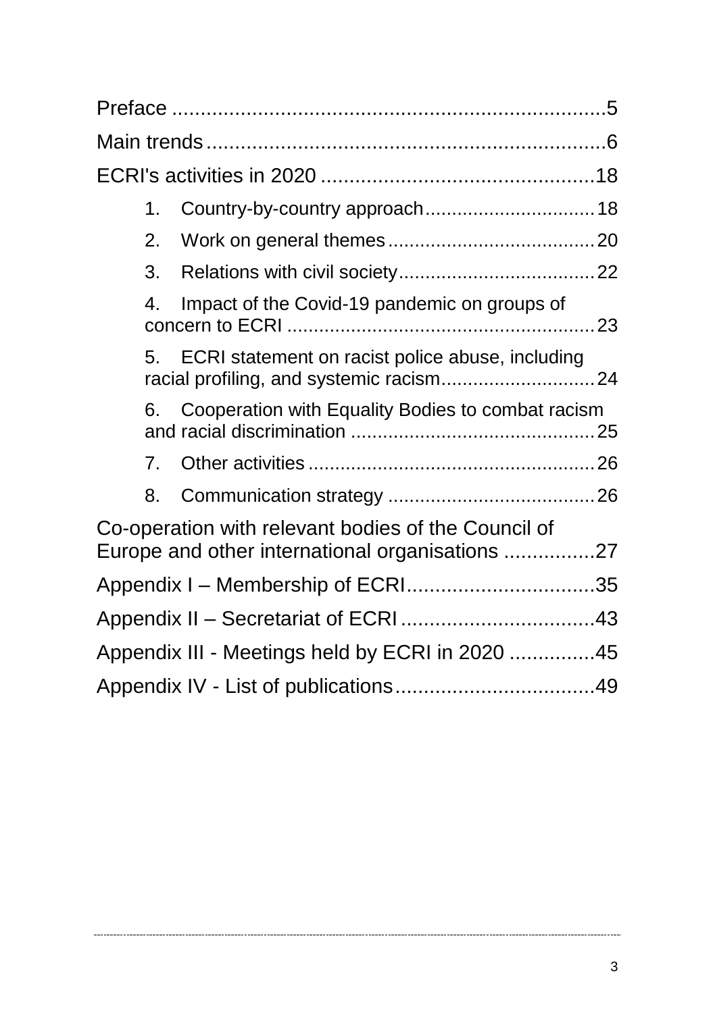|                                                 | 1. | Country-by-country approach 18                                                                         |  |  |
|-------------------------------------------------|----|--------------------------------------------------------------------------------------------------------|--|--|
|                                                 | 2. |                                                                                                        |  |  |
|                                                 | 3. |                                                                                                        |  |  |
|                                                 | 4. | Impact of the Covid-19 pandemic on groups of                                                           |  |  |
|                                                 | 5. | ECRI statement on racist police abuse, including                                                       |  |  |
|                                                 | 6. | Cooperation with Equality Bodies to combat racism                                                      |  |  |
|                                                 | 7. |                                                                                                        |  |  |
|                                                 | 8. |                                                                                                        |  |  |
|                                                 |    | Co-operation with relevant bodies of the Council of<br>Europe and other international organisations 27 |  |  |
|                                                 |    |                                                                                                        |  |  |
|                                                 |    |                                                                                                        |  |  |
| Appendix III - Meetings held by ECRI in 2020 45 |    |                                                                                                        |  |  |
|                                                 |    |                                                                                                        |  |  |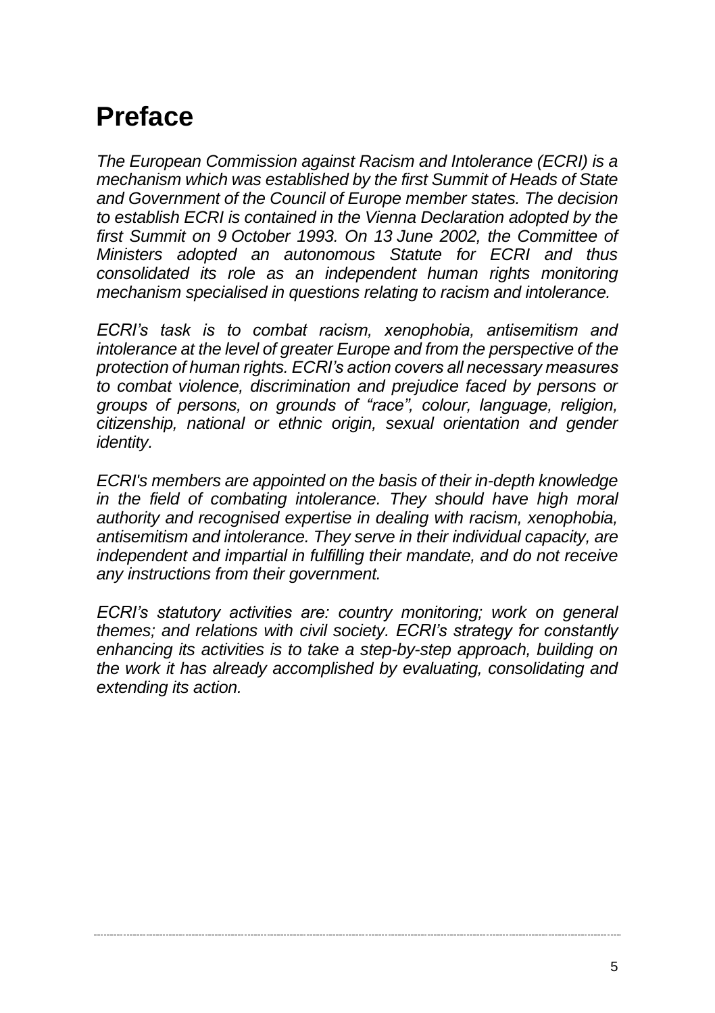# <span id="page-4-0"></span>**Preface**

*The European Commission against Racism and Intolerance (ECRI) is a mechanism which was established by the first Summit of Heads of State and Government of the Council of Europe member states. The decision to establish ECRI is contained in the Vienna Declaration adopted by the first Summit on 9 October 1993. On 13 June 2002, the Committee of Ministers adopted an autonomous Statute for ECRI and thus consolidated its role as an independent human rights monitoring mechanism specialised in questions relating to racism and intolerance.*

*ECRI's task is to combat racism, xenophobia, antisemitism and intolerance at the level of greater Europe and from the perspective of the protection of human rights. ECRI's action covers all necessary measures to combat violence, discrimination and prejudice faced by persons or groups of persons, on grounds of "race", colour, language, religion, citizenship, national or ethnic origin, sexual orientation and gender identity.*

*ECRI's members are appointed on the basis of their in-depth knowledge in the field of combating intolerance. They should have high moral authority and recognised expertise in dealing with racism, xenophobia, antisemitism and intolerance. They serve in their individual capacity, are independent and impartial in fulfilling their mandate, and do not receive any instructions from their government.*

*ECRI's statutory activities are: country monitoring; work on general themes; and relations with civil society. ECRI's strategy for constantly enhancing its activities is to take a step-by-step approach, building on the work it has already accomplished by evaluating, consolidating and extending its action.*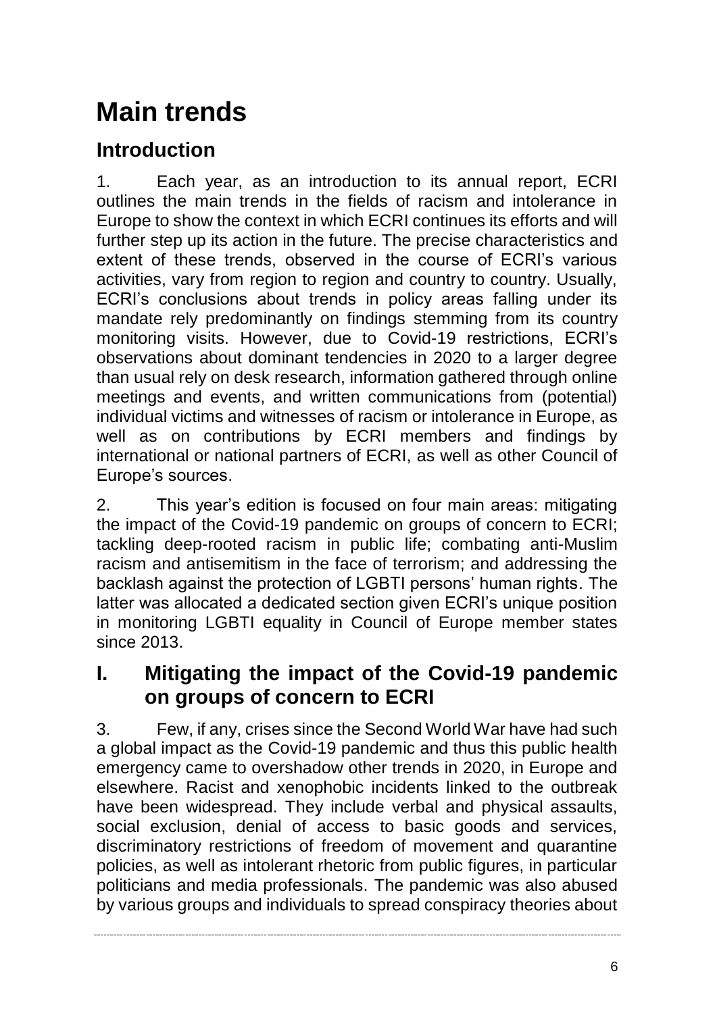# <span id="page-5-0"></span>**Main trends**

# **Introduction**

1. Each year, as an introduction to its annual report, ECRI outlines the main trends in the fields of racism and intolerance in Europe to show the context in which ECRI continues its efforts and will further step up its action in the future. The precise characteristics and extent of these trends, observed in the course of ECRI's various activities, vary from region to region and country to country. Usually, ECRI's conclusions about trends in policy areas falling under its mandate rely predominantly on findings stemming from its country monitoring visits. However, due to Covid-19 restrictions, ECRI's observations about dominant tendencies in 2020 to a larger degree than usual rely on desk research, information gathered through online meetings and events, and written communications from (potential) individual victims and witnesses of racism or intolerance in Europe, as well as on contributions by ECRI members and findings by international or national partners of ECRI, as well as other Council of Europe's sources.

2. This year's edition is focused on four main areas: mitigating the impact of the Covid-19 pandemic on groups of concern to ECRI; tackling deep-rooted racism in public life; combating anti-Muslim racism and antisemitism in the face of terrorism; and addressing the backlash against the protection of LGBTI persons' human rights. The latter was allocated a dedicated section given ECRI's unique position in monitoring LGBTI equality in Council of Europe member states since 2013.

# **I. Mitigating the impact of the Covid-19 pandemic on groups of concern to ECRI**

3. Few, if any, crises since the Second World War have had such a global impact as the Covid-19 pandemic and thus this public health emergency came to overshadow other trends in 2020, in Europe and elsewhere. Racist and xenophobic incidents linked to the outbreak have been widespread. They include verbal and physical assaults, social exclusion, denial of access to basic goods and services, discriminatory restrictions of freedom of movement and quarantine policies, as well as intolerant rhetoric from public figures, in particular politicians and media professionals. The pandemic was also abused by various groups and individuals to spread conspiracy theories about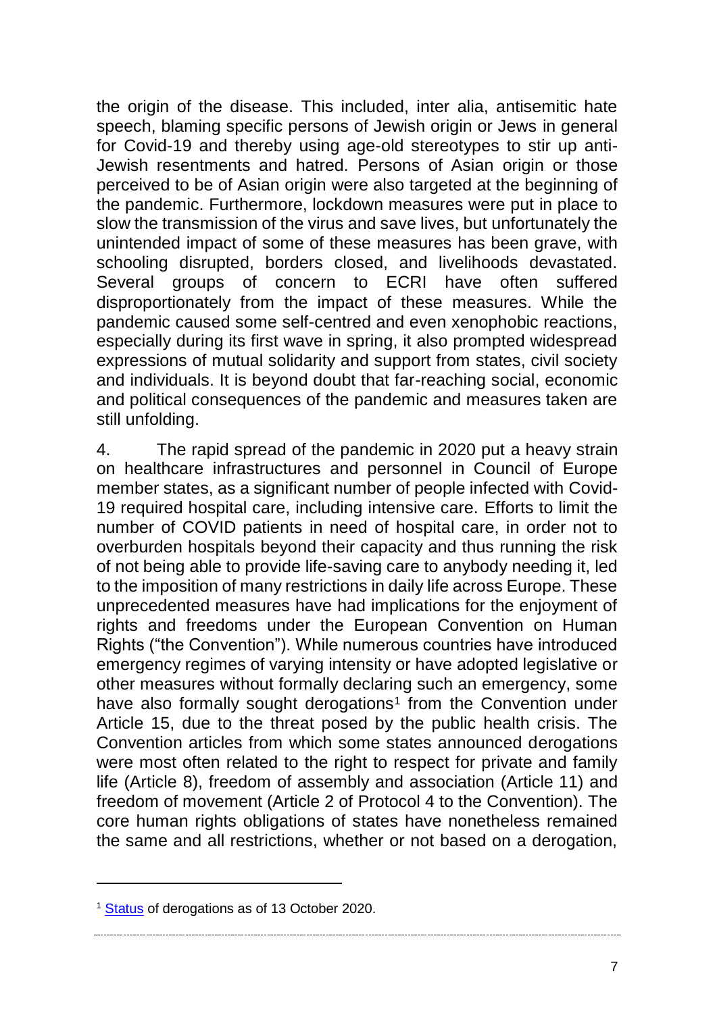the origin of the disease. This included, inter alia, antisemitic hate speech, blaming specific persons of Jewish origin or Jews in general for Covid-19 and thereby using age-old stereotypes to stir up anti-Jewish resentments and hatred. Persons of Asian origin or those perceived to be of Asian origin were also targeted at the beginning of the pandemic. Furthermore, lockdown measures were put in place to slow the transmission of the virus and save lives, but unfortunately the unintended impact of some of these measures has been grave, with schooling disrupted, borders closed, and livelihoods devastated. Several groups of concern to ECRI have often suffered disproportionately from the impact of these measures. While the pandemic caused some self-centred and even xenophobic reactions, especially during its first wave in spring, it also prompted widespread expressions of mutual solidarity and support from states, civil society and individuals. It is beyond doubt that far-reaching social, economic and political consequences of the pandemic and measures taken are still unfolding.

4. The rapid spread of the pandemic in 2020 put a heavy strain on healthcare infrastructures and personnel in Council of Europe member states, as a significant number of people infected with Covid-19 required hospital care, including intensive care. Efforts to limit the number of COVID patients in need of hospital care, in order not to overburden hospitals beyond their capacity and thus running the risk of not being able to provide life-saving care to anybody needing it, led to the imposition of many restrictions in daily life across Europe. These unprecedented measures have had implications for the enjoyment of rights and freedoms under the European Convention on Human Rights ("the Convention"). While numerous countries have introduced emergency regimes of varying intensity or have adopted legislative or other measures without formally declaring such an emergency, some have also formally sought derogations<sup>1</sup> from the Convention under Article 15, due to the threat posed by the public health crisis. The Convention articles from which some states announced derogations were most often related to the right to respect for private and family life (Article 8), freedom of assembly and association (Article 11) and freedom of movement (Article 2 of Protocol 4 to the Convention). The core human rights obligations of states have nonetheless remained the same and all restrictions, whether or not based on a derogation,

 $\overline{a}$ 

<sup>&</sup>lt;sup>1</sup> [Status](https://www.coe.int/en/web/conventions/full-list/-/conventions/webContent/62111354) of derogations as of 13 October 2020.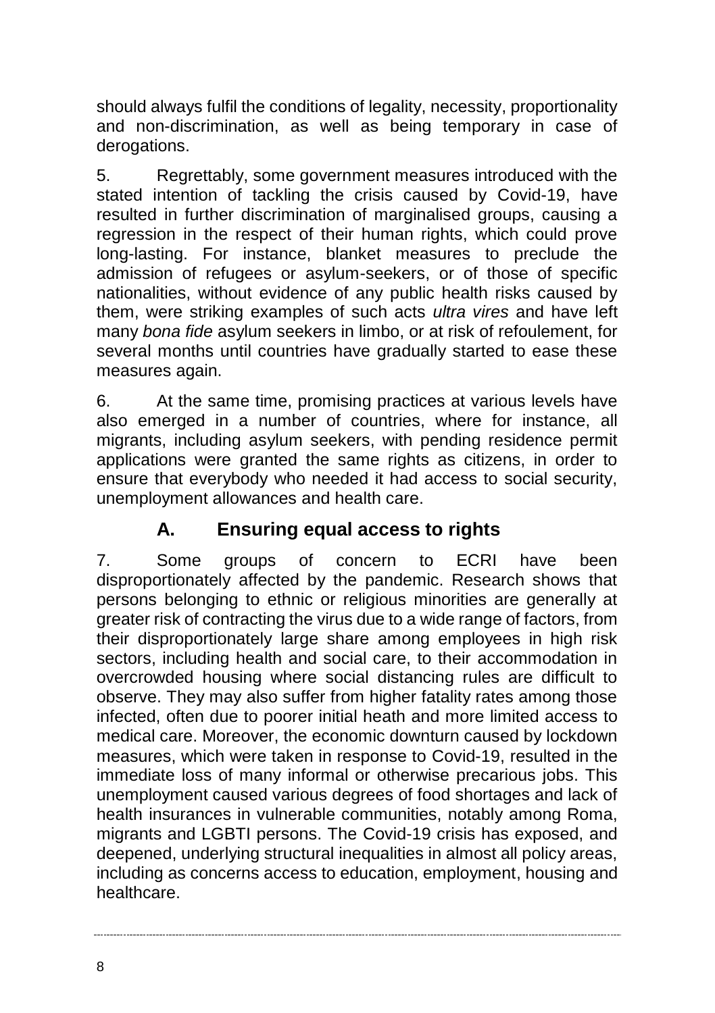should always fulfil the conditions of legality, necessity, proportionality and non-discrimination, as well as being temporary in case of derogations.

5. Regrettably, some government measures introduced with the stated intention of tackling the crisis caused by Covid-19, have resulted in further discrimination of marginalised groups, causing a regression in the respect of their human rights, which could prove long-lasting. For instance, blanket measures to preclude the admission of refugees or asylum-seekers, or of those of specific nationalities, without evidence of any public health risks caused by them, were striking examples of such acts *ultra vires* and have left many *bona fide* asylum seekers in limbo, or at risk of refoulement, for several months until countries have gradually started to ease these measures again.

6. At the same time, promising practices at various levels have also emerged in a number of countries, where for instance, all migrants, including asylum seekers, with pending residence permit applications were granted the same rights as citizens, in order to ensure that everybody who needed it had access to social security, unemployment allowances and health care.

### **A. Ensuring equal access to rights**

7. Some groups of concern to ECRI have been disproportionately affected by the pandemic. Research shows that persons belonging to ethnic or religious minorities are generally at greater risk of contracting the virus due to a wide range of factors, from their disproportionately large share among employees in high risk sectors, including health and social care, to their accommodation in overcrowded housing where social distancing rules are difficult to observe. They may also suffer from higher fatality rates among those infected, often due to poorer initial heath and more limited access to medical care. Moreover, the economic downturn caused by lockdown measures, which were taken in response to Covid-19, resulted in the immediate loss of many informal or otherwise precarious jobs. This unemployment caused various degrees of food shortages and lack of health insurances in vulnerable communities, notably among Roma, migrants and LGBTI persons. The Covid-19 crisis has exposed, and deepened, underlying structural inequalities in almost all policy areas, including as concerns access to education, employment, housing and healthcare.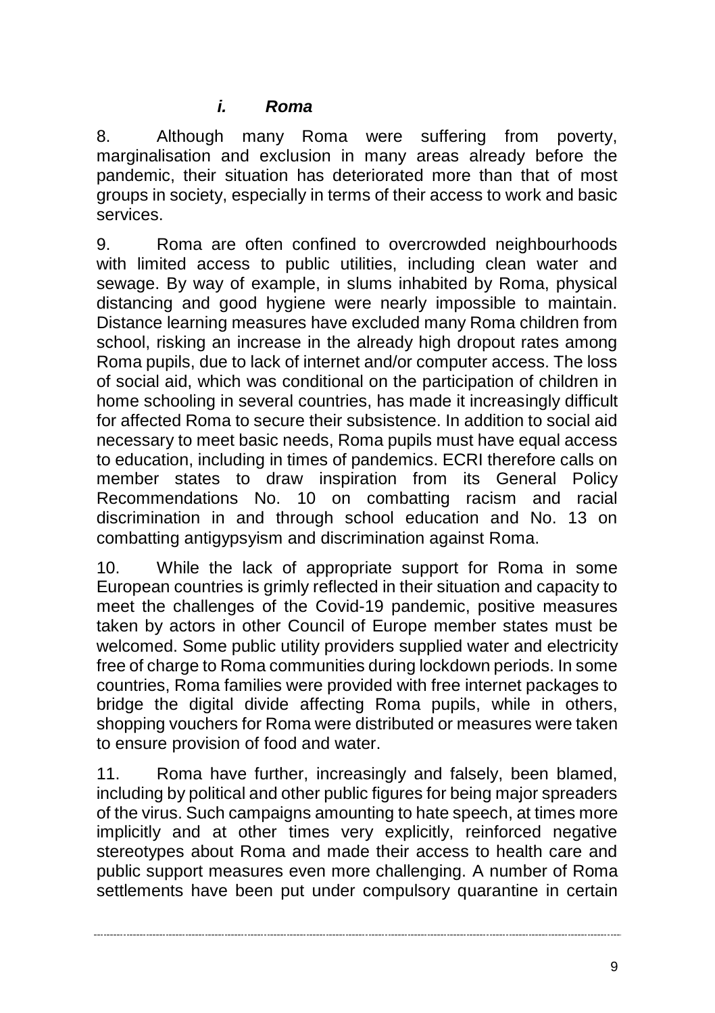8. Although many Roma were suffering from poverty, marginalisation and exclusion in many areas already before the pandemic, their situation has deteriorated more than that of most groups in society, especially in terms of their access to work and basic services.

9. Roma are often confined to overcrowded neighbourhoods with limited access to public utilities, including clean water and sewage. By way of example, in slums inhabited by Roma, physical distancing and good hygiene were nearly impossible to maintain. Distance learning measures have excluded many Roma children from school, risking an increase in the already high dropout rates among Roma pupils, due to lack of internet and/or computer access. The loss of social aid, which was conditional on the participation of children in home schooling in several countries, has made it increasingly difficult for affected Roma to secure their subsistence. In addition to social aid necessary to meet basic needs, Roma pupils must have equal access to education, including in times of pandemics. ECRI therefore calls on member states to draw inspiration from its General Policy Recommendations No. 10 on combatting racism and racial discrimination in and through school education and No. 13 on combatting antigypsyism and discrimination against Roma.

10. While the lack of appropriate support for Roma in some European countries is grimly reflected in their situation and capacity to meet the challenges of the Covid-19 pandemic, positive measures taken by actors in other Council of Europe member states must be welcomed. Some public utility providers supplied water and electricity free of charge to Roma communities during lockdown periods. In some countries, Roma families were provided with free internet packages to bridge the digital divide affecting Roma pupils, while in others, shopping vouchers for Roma were distributed or measures were taken to ensure provision of food and water.

11. Roma have further, increasingly and falsely, been blamed, including by political and other public figures for being major spreaders of the virus. Such campaigns amounting to hate speech, at times more implicitly and at other times very explicitly, reinforced negative stereotypes about Roma and made their access to health care and public support measures even more challenging. A number of Roma settlements have been put under compulsory quarantine in certain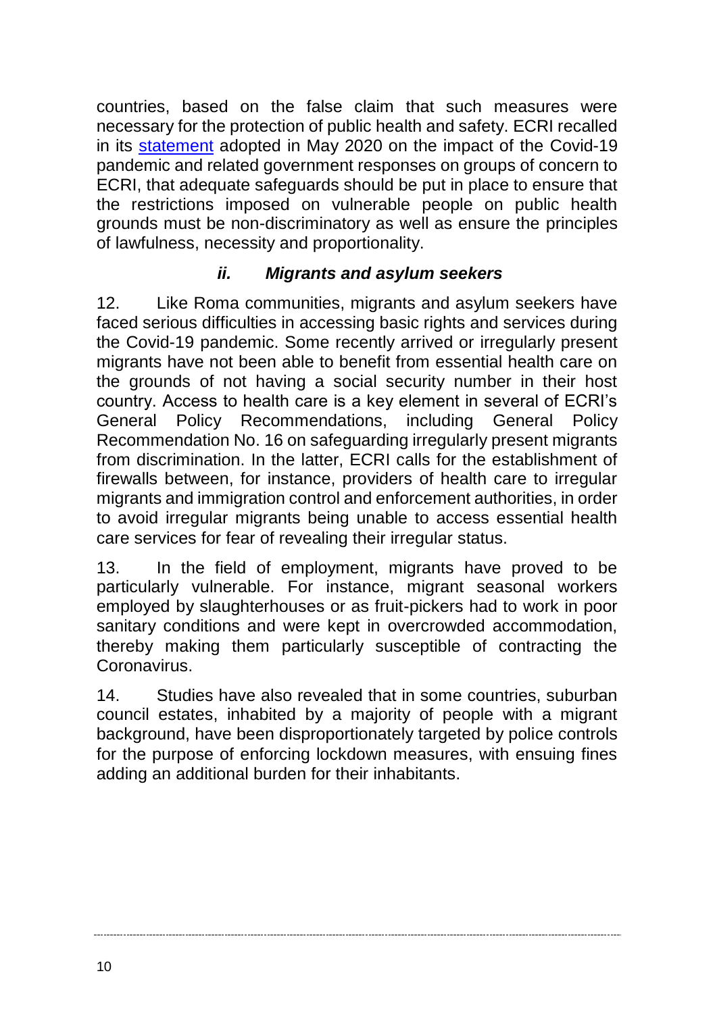countries, based on the false claim that such measures were necessary for the protection of public health and safety. ECRI recalled in its [statement](https://rm.coe.int/statement-by-the-bureau-of-the-european-commission-against-racism-and-/16809ea6b6) adopted in May 2020 on the impact of the Covid-19 pandemic and related government responses on groups of concern to ECRI, that adequate safeguards should be put in place to ensure that the restrictions imposed on vulnerable people on public health grounds must be non-discriminatory as well as ensure the principles of lawfulness, necessity and proportionality.

#### *ii. Migrants and asylum seekers*

12. Like Roma communities, migrants and asylum seekers have faced serious difficulties in accessing basic rights and services during the Covid-19 pandemic. Some recently arrived or irregularly present migrants have not been able to benefit from essential health care on the grounds of not having a social security number in their host country. Access to health care is a key element in several of ECRI's General Policy Recommendations, including General Policy Recommendation No. 16 on safeguarding irregularly present migrants from discrimination. In the latter, ECRI calls for the establishment of firewalls between, for instance, providers of health care to irregular migrants and immigration control and enforcement authorities, in order to avoid irregular migrants being unable to access essential health care services for fear of revealing their irregular status.

13. In the field of employment, migrants have proved to be particularly vulnerable. For instance, migrant seasonal workers employed by slaughterhouses or as fruit-pickers had to work in poor sanitary conditions and were kept in overcrowded accommodation. thereby making them particularly susceptible of contracting the Coronavirus.

14. Studies have also revealed that in some countries, suburban council estates, inhabited by a majority of people with a migrant background, have been disproportionately targeted by police controls for the purpose of enforcing lockdown measures, with ensuing fines adding an additional burden for their inhabitants.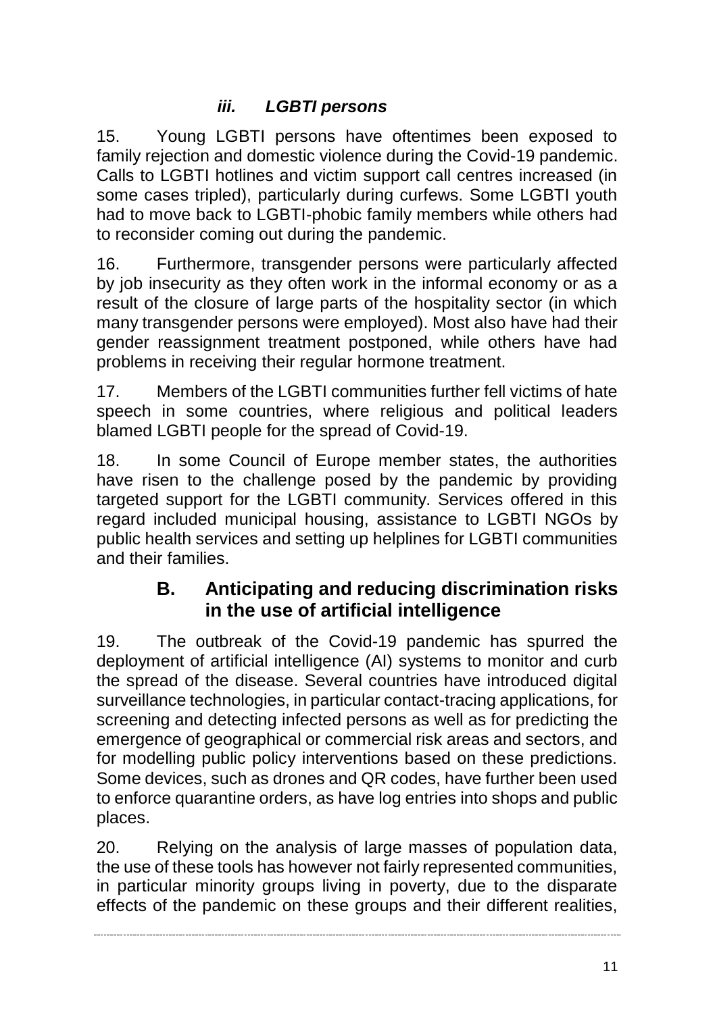#### *iii. LGBTI persons*

15. Young LGBTI persons have oftentimes been exposed to family rejection and domestic violence during the Covid-19 pandemic. Calls to LGBTI hotlines and victim support call centres increased (in some cases tripled), particularly during curfews. Some LGBTI youth had to move back to LGBTI-phobic family members while others had to reconsider coming out during the pandemic.

16. Furthermore, transgender persons were particularly affected by job insecurity as they often work in the informal economy or as a result of the closure of large parts of the hospitality sector (in which many transgender persons were employed). Most also have had their gender reassignment treatment postponed, while others have had problems in receiving their regular hormone treatment.

17. Members of the LGBTI communities further fell victims of hate speech in some countries, where religious and political leaders blamed LGBTI people for the spread of Covid-19.

18. In some Council of Europe member states, the authorities have risen to the challenge posed by the pandemic by providing targeted support for the LGBTI community. Services offered in this regard included municipal housing, assistance to LGBTI NGOs by public health services and setting up helplines for LGBTI communities and their families.

#### **B. Anticipating and reducing discrimination risks in the use of artificial intelligence**

19. The outbreak of the Covid-19 pandemic has spurred the deployment of artificial intelligence (AI) systems to monitor and curb the spread of the disease. Several countries have introduced digital surveillance technologies, in particular contact-tracing applications, for screening and detecting infected persons as well as for predicting the emergence of geographical or commercial risk areas and sectors, and for modelling public policy interventions based on these predictions. Some devices, such as drones and QR codes, have further been used to enforce quarantine orders, as have log entries into shops and public places.

20. Relying on the analysis of large masses of population data, the use of these tools has however not fairly represented communities, in particular minority groups living in poverty, due to the disparate effects of the pandemic on these groups and their different realities,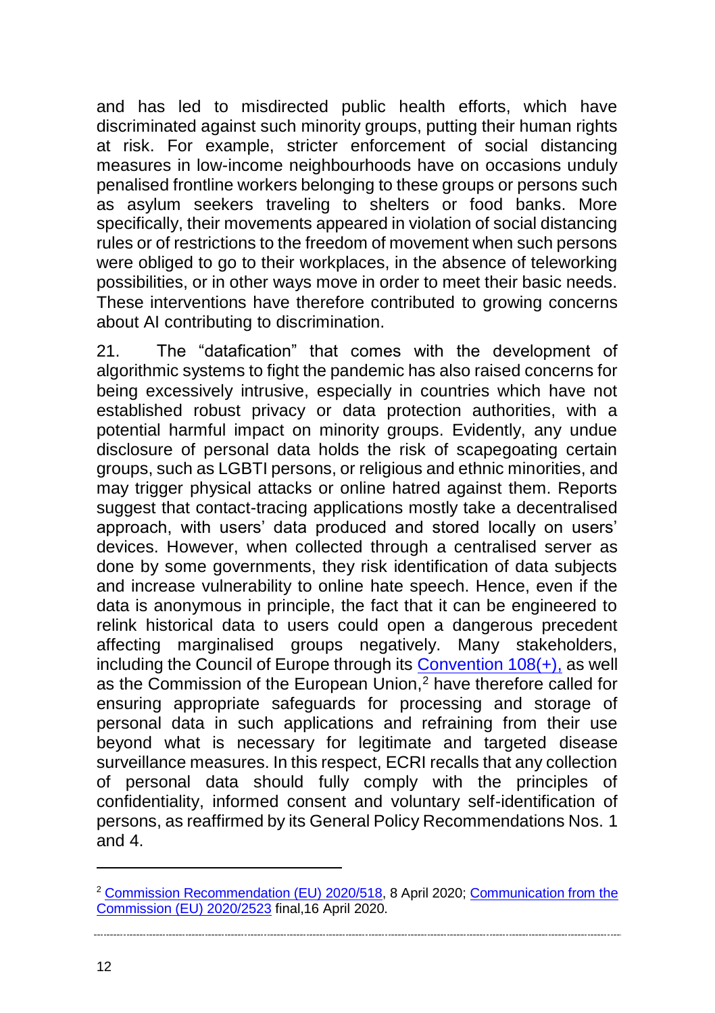and has led to misdirected public health efforts, which have discriminated against such minority groups, putting their human rights at risk. For example, stricter enforcement of social distancing measures in low-income neighbourhoods have on occasions unduly penalised frontline workers belonging to these groups or persons such as asylum seekers traveling to shelters or food banks. More specifically, their movements appeared in violation of social distancing rules or of restrictions to the freedom of movement when such persons were obliged to go to their workplaces, in the absence of teleworking possibilities, or in other ways move in order to meet their basic needs. These interventions have therefore contributed to growing concerns about AI contributing to discrimination.

21. The "datafication" that comes with the development of algorithmic systems to fight the pandemic has also raised concerns for being excessively intrusive, especially in countries which have not established robust privacy or data protection authorities, with a potential harmful impact on minority groups. Evidently, any undue disclosure of personal data holds the risk of scapegoating certain groups, such as LGBTI persons, or religious and ethnic minorities, and may trigger physical attacks or online hatred against them. Reports suggest that contact-tracing applications mostly take a decentralised approach, with users' data produced and stored locally on users' devices. However, when collected through a centralised server as done by some governments, they risk identification of data subjects and increase vulnerability to online hate speech. Hence, even if the data is anonymous in principle, the fact that it can be engineered to relink historical data to users could open a dangerous precedent affecting marginalised groups negatively. Many stakeholders, including the Council of Europe through its Convention  $108(+)$ , as well as the Commission of the European Union,<sup>2</sup> have therefore called for ensuring appropriate safeguards for processing and storage of personal data in such applications and refraining from their use beyond what is necessary for legitimate and targeted disease surveillance measures. In this respect, ECRI recalls that any collection of personal data should fully comply with the principles of confidentiality, informed consent and voluntary self-identification of persons, as reaffirmed by its General Policy Recommendations Nos. 1 and 4.

 $\overline{a}$ 

<sup>2</sup> [Commission Recommendation \(EU\) 2020/518,](https://eur-lex.europa.eu/eli/reco/2020/518/oj) 8 April 2020; [Communication from the](https://ec.europa.eu/info/sites/info/files/5_en_act_part1_v3.pdf)  [Commission \(EU\) 2020/2523](https://ec.europa.eu/info/sites/info/files/5_en_act_part1_v3.pdf) final,16 April 2020.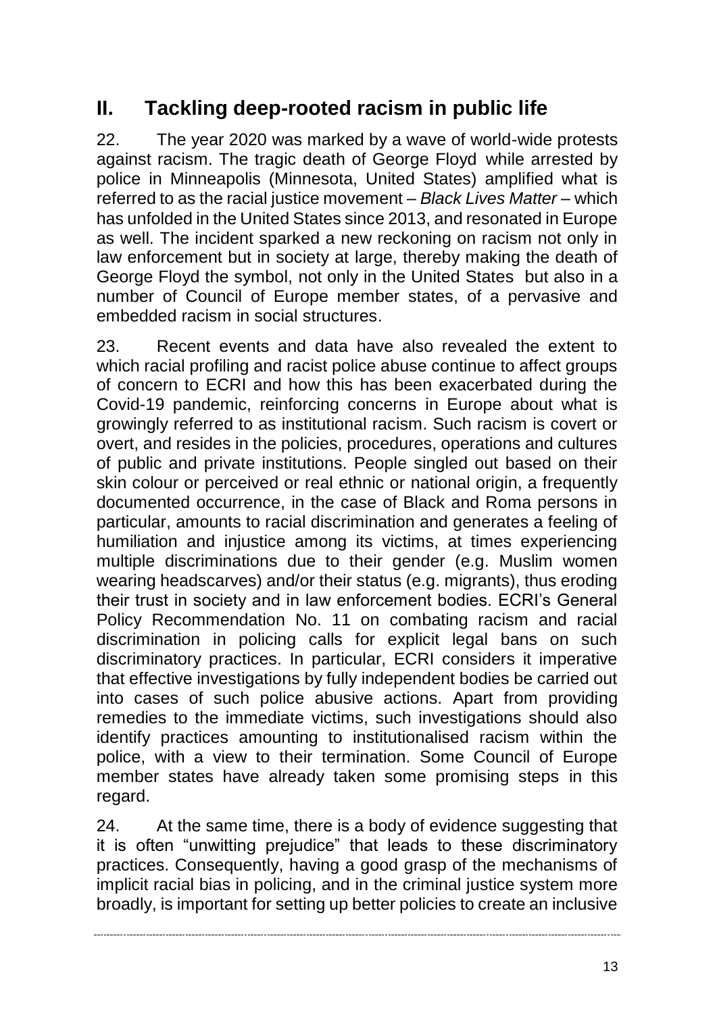# **II. Tackling deep-rooted racism in public life**

22. The year 2020 was marked by a wave of world-wide protests against racism. The tragic death of George Floyd while arrested by police in Minneapolis (Minnesota, United States) amplified what is referred to as the racial justice movement – *Black Lives Matter* – which has unfolded in the United States since 2013, and resonated in Europe as well. The incident sparked a new reckoning on racism not only in law enforcement but in society at large, thereby making the death of George Floyd the symbol, not only in the United States but also in a number of Council of Europe member states, of a pervasive and embedded racism in social structures.

23. Recent events and data have also revealed the extent to which racial profiling and racist police abuse continue to affect groups of concern to ECRI and how this has been exacerbated during the Covid-19 pandemic, reinforcing concerns in Europe about what is growingly referred to as institutional racism. Such racism is covert or overt, and resides in the policies, procedures, operations and cultures of public and private institutions. People singled out based on their skin colour or perceived or real ethnic or national origin, a frequently documented occurrence, in the case of Black and Roma persons in particular, amounts to racial discrimination and generates a feeling of humiliation and injustice among its victims, at times experiencing multiple discriminations due to their gender (e.g. Muslim women wearing headscarves) and/or their status (e.g. migrants), thus eroding their trust in society and in law enforcement bodies. ECRI's General Policy Recommendation No. 11 on combating racism and racial discrimination in policing calls for explicit legal bans on such discriminatory practices. In particular, ECRI considers it imperative that effective investigations by fully independent bodies be carried out into cases of such police abusive actions. Apart from providing remedies to the immediate victims, such investigations should also identify practices amounting to institutionalised racism within the police, with a view to their termination. Some Council of Europe member states have already taken some promising steps in this regard.

24. At the same time, there is a body of evidence suggesting that it is often "unwitting prejudice" that leads to these discriminatory practices. Consequently, having a good grasp of the mechanisms of implicit racial bias in policing, and in the criminal justice system more broadly, is important for setting up better policies to create an inclusive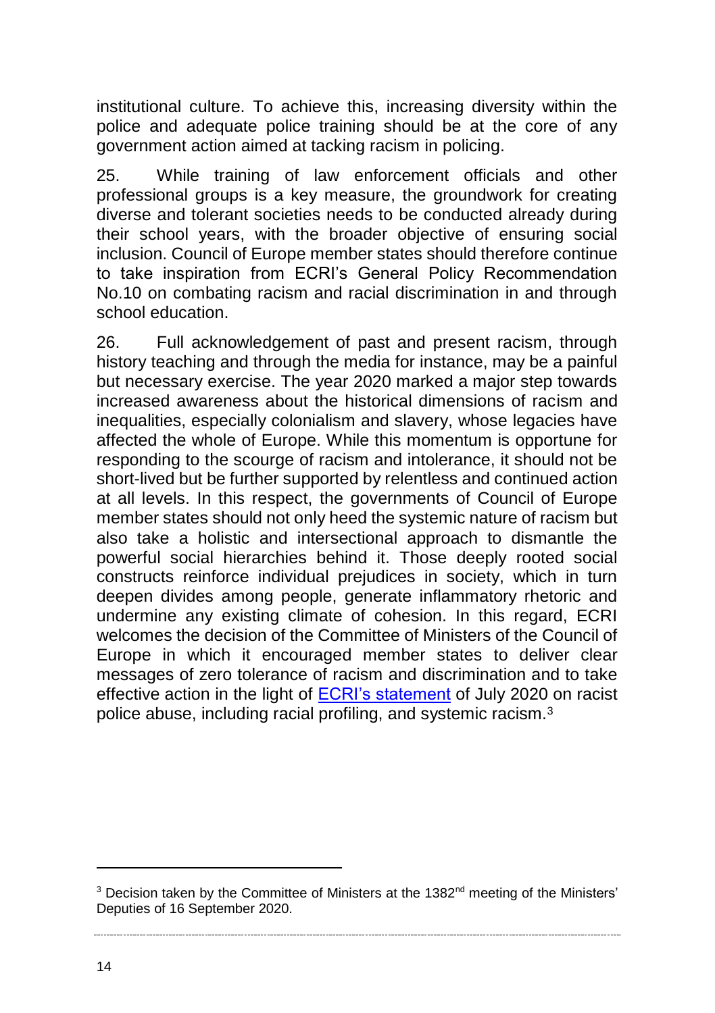institutional culture. To achieve this, increasing diversity within the police and adequate police training should be at the core of any government action aimed at tacking racism in policing.

25. While training of law enforcement officials and other professional groups is a key measure, the groundwork for creating diverse and tolerant societies needs to be conducted already during their school years, with the broader objective of ensuring social inclusion. Council of Europe member states should therefore continue to take inspiration from ECRI's General Policy Recommendation No.10 on combating racism and racial discrimination in and through school education.

26. Full acknowledgement of past and present racism, through history teaching and through the media for instance, may be a painful but necessary exercise. The year 2020 marked a major step towards increased awareness about the historical dimensions of racism and inequalities, especially colonialism and slavery, whose legacies have affected the whole of Europe. While this momentum is opportune for responding to the scourge of racism and intolerance, it should not be short-lived but be further supported by relentless and continued action at all levels. In this respect, the governments of Council of Europe member states should not only heed the systemic nature of racism but also take a holistic and intersectional approach to dismantle the powerful social hierarchies behind it. Those deeply rooted social constructs reinforce individual prejudices in society, which in turn deepen divides among people, generate inflammatory rhetoric and undermine any existing climate of cohesion. In this regard, ECRI welcomes the decision of the Committee of Ministers of the Council of Europe in which it encouraged member states to deliver clear messages of zero tolerance of racism and discrimination and to take effective action in the light of [ECRI's statement](https://rm.coe.int/statement-of-ecri-on-racist-police-abuse-including-racial-profiling-an/16809eee6a) of July 2020 on racist police abuse, including racial profiling, and systemic racism.<sup>3</sup>

 $\overline{a}$ 

<sup>&</sup>lt;sup>3</sup> Decision taken by the Committee of Ministers at the 1382<sup>nd</sup> meeting of the Ministers' Deputies of 16 September 2020.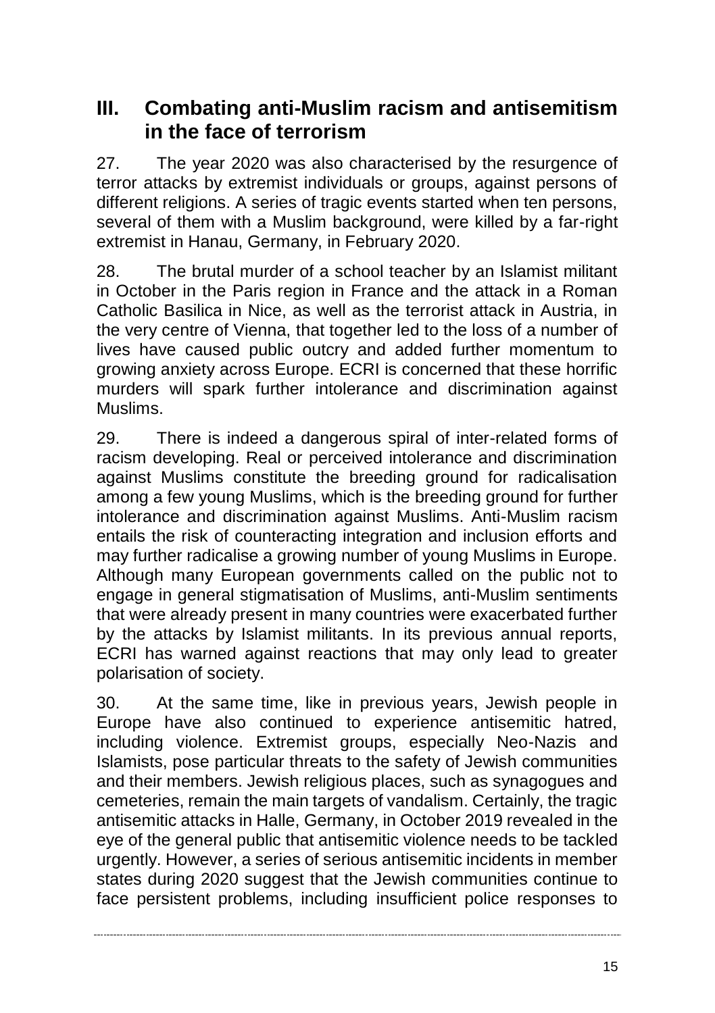# **III. Combating anti-Muslim racism and antisemitism in the face of terrorism**

27. The year 2020 was also characterised by the resurgence of terror attacks by extremist individuals or groups, against persons of different religions. A series of tragic events started when ten persons, several of them with a Muslim background, were killed by a far-right extremist in Hanau, Germany, in February 2020.

28. The brutal murder of a school teacher by an Islamist militant in October in the Paris region in France and the attack in a Roman Catholic Basilica in Nice, as well as the terrorist attack in Austria, in the very centre of Vienna, that together led to the loss of a number of lives have caused public outcry and added further momentum to growing anxiety across Europe. ECRI is concerned that these horrific murders will spark further intolerance and discrimination against Muslims.

29. There is indeed a dangerous spiral of inter-related forms of racism developing. Real or perceived intolerance and discrimination against Muslims constitute the breeding ground for radicalisation among a few young Muslims, which is the breeding ground for further intolerance and discrimination against Muslims. Anti-Muslim racism entails the risk of counteracting integration and inclusion efforts and may further radicalise a growing number of young Muslims in Europe. Although many European governments called on the public not to engage in general stigmatisation of Muslims, anti-Muslim sentiments that were already present in many countries were exacerbated further by the attacks by Islamist militants. In its previous annual reports, ECRI has warned against reactions that may only lead to greater polarisation of society.

30. At the same time, like in previous years, Jewish people in Europe have also continued to experience antisemitic hatred, including violence. Extremist groups, especially Neo-Nazis and Islamists, pose particular threats to the safety of Jewish communities and their members. Jewish religious places, such as synagogues and cemeteries, remain the main targets of vandalism. Certainly, the tragic antisemitic attacks in Halle, Germany, in October 2019 revealed in the eye of the general public that antisemitic violence needs to be tackled urgently. However, a series of serious antisemitic incidents in member states during 2020 suggest that the Jewish communities continue to face persistent problems, including insufficient police responses to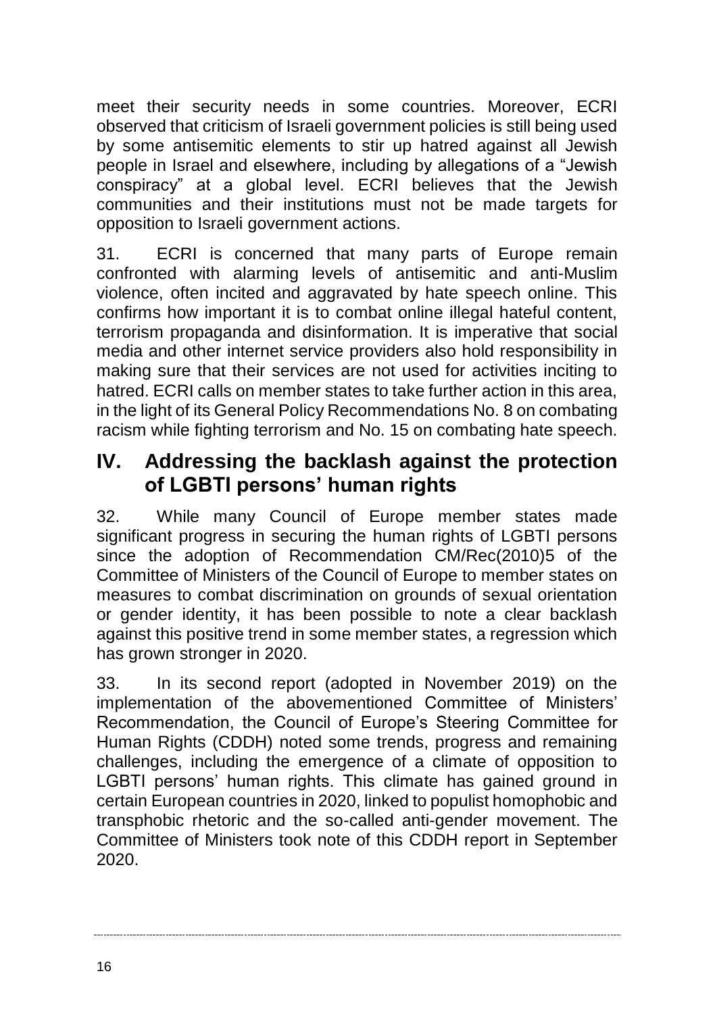meet their security needs in some countries. Moreover, ECRI observed that criticism of Israeli government policies is still being used by some antisemitic elements to stir up hatred against all Jewish people in Israel and elsewhere, including by allegations of a "Jewish conspiracy" at a global level. ECRI believes that the Jewish communities and their institutions must not be made targets for opposition to Israeli government actions.

31. ECRI is concerned that many parts of Europe remain confronted with alarming levels of antisemitic and anti-Muslim violence, often incited and aggravated by hate speech online. This confirms how important it is to combat online illegal hateful content. terrorism propaganda and disinformation. It is imperative that social media and other internet service providers also hold responsibility in making sure that their services are not used for activities inciting to hatred. ECRI calls on member states to take further action in this area. in the light of its General Policy Recommendations No. 8 on combating racism while fighting terrorism and No. 15 on combating hate speech.

# **IV. Addressing the backlash against the protection of LGBTI persons' human rights**

32. While many Council of Europe member states made significant progress in securing the human rights of LGBTI persons since the adoption of Recommendation CM/Rec(2010)5 of the Committee of Ministers of the Council of Europe to member states on measures to combat discrimination on grounds of sexual orientation or gender identity, it has been possible to note a clear backlash against this positive trend in some member states, a regression which has grown stronger in 2020.

33. In its second report (adopted in November 2019) on the implementation of the abovementioned Committee of Ministers' Recommendation, the Council of Europe's Steering Committee for Human Rights (CDDH) noted some trends, progress and remaining challenges, including the emergence of a climate of opposition to LGBTI persons' human rights. This climate has gained ground in certain European countries in 2020, linked to populist homophobic and transphobic rhetoric and the so-called anti-gender movement. The Committee of Ministers took note of this CDDH report in September 2020.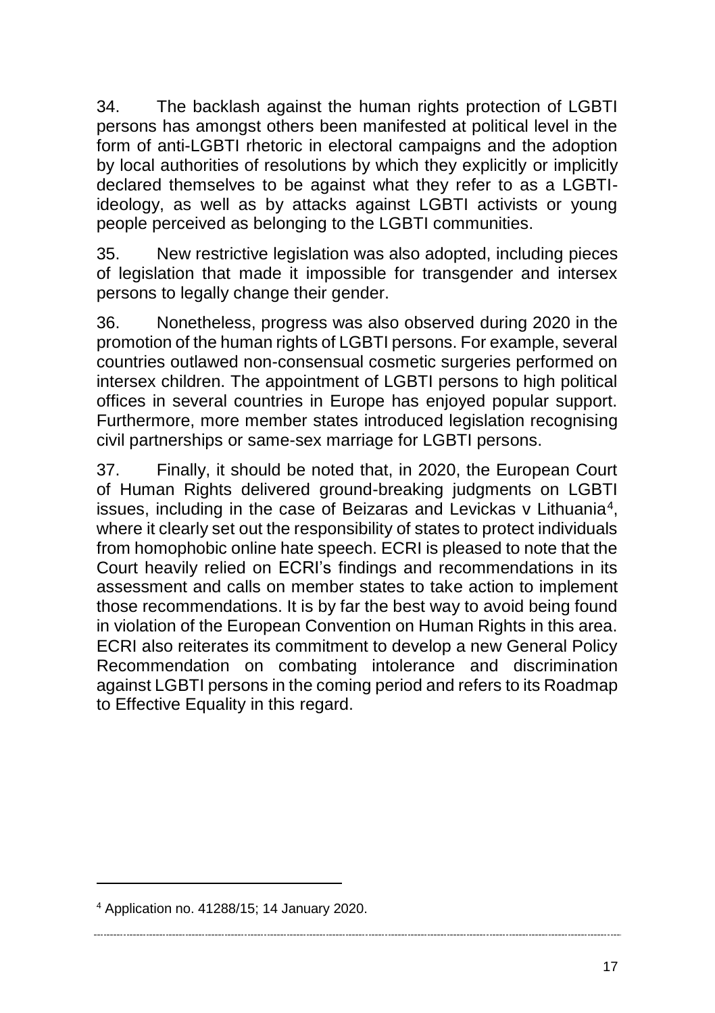34. The backlash against the human rights protection of LGBTI persons has amongst others been manifested at political level in the form of anti-LGBTI rhetoric in electoral campaigns and the adoption by local authorities of resolutions by which they explicitly or implicitly declared themselves to be against what they refer to as a LGBTIideology, as well as by attacks against LGBTI activists or young people perceived as belonging to the LGBTI communities.

35. New restrictive legislation was also adopted, including pieces of legislation that made it impossible for transgender and intersex persons to legally change their gender.

36. Nonetheless, progress was also observed during 2020 in the promotion of the human rights of LGBTI persons. For example, several countries outlawed non-consensual cosmetic surgeries performed on intersex children. The appointment of LGBTI persons to high political offices in several countries in Europe has enjoyed popular support. Furthermore, more member states introduced legislation recognising civil partnerships or same-sex marriage for LGBTI persons.

37. Finally, it should be noted that, in 2020, the European Court of Human Rights delivered ground-breaking judgments on LGBTI issues, including in the case of Beizaras and Levickas v Lithuania<sup>4</sup>, where it clearly set out the responsibility of states to protect individuals from homophobic online hate speech. ECRI is pleased to note that the Court heavily relied on ECRI's findings and recommendations in its assessment and calls on member states to take action to implement those recommendations. It is by far the best way to avoid being found in violation of the European Convention on Human Rights in this area. ECRI also reiterates its commitment to develop a new General Policy Recommendation on combating intolerance and discrimination against LGBTI persons in the coming period and refers to its Roadmap to Effective Equality in this regard.

 $\overline{a}$ 

<sup>4</sup> Application no. 41288/15; 14 January 2020.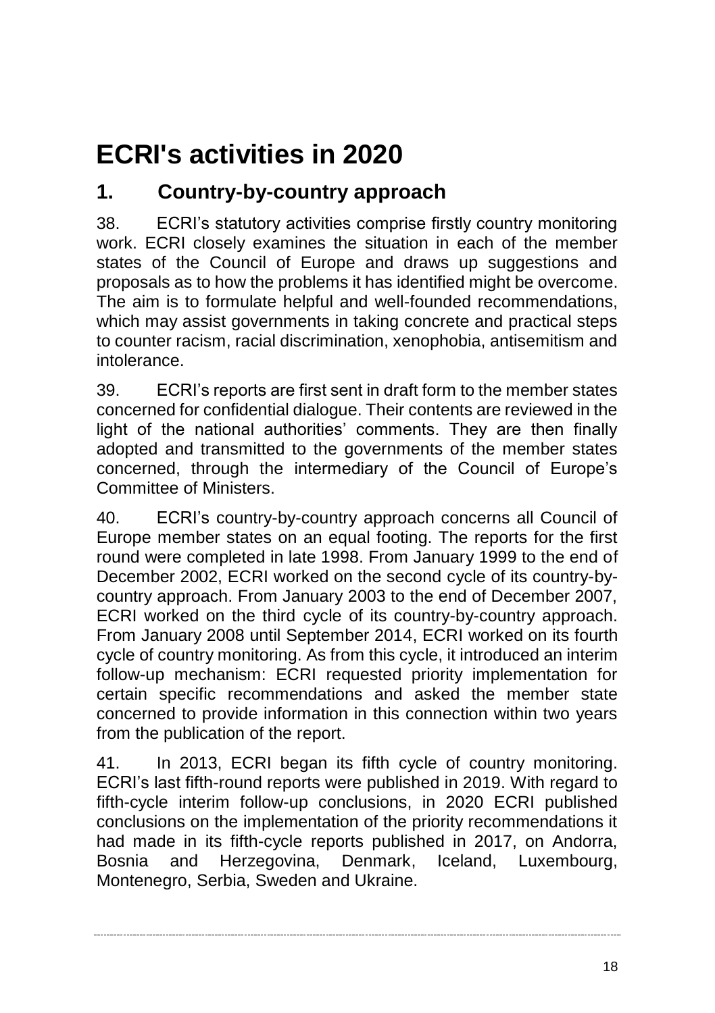# <span id="page-17-0"></span>**ECRI's activities in 2020**

# <span id="page-17-1"></span>**1. Country-by-country approach**

38. ECRI's statutory activities comprise firstly country monitoring work. ECRI closely examines the situation in each of the member states of the Council of Europe and draws up suggestions and proposals as to how the problems it has identified might be overcome. The aim is to formulate helpful and well-founded recommendations, which may assist governments in taking concrete and practical steps to counter racism, racial discrimination, xenophobia, antisemitism and intolerance.

39. ECRI's reports are first sent in draft form to the member states concerned for confidential dialogue. Their contents are reviewed in the light of the national authorities' comments. They are then finally adopted and transmitted to the governments of the member states concerned, through the intermediary of the Council of Europe's Committee of Ministers.

40. ECRI's country-by-country approach concerns all Council of Europe member states on an equal footing. The reports for the first round were completed in late 1998. From January 1999 to the end of December 2002, ECRI worked on the second cycle of its country-bycountry approach. From January 2003 to the end of December 2007, ECRI worked on the third cycle of its country-by-country approach. From January 2008 until September 2014, ECRI worked on its fourth cycle of country monitoring. As from this cycle, it introduced an interim follow-up mechanism: ECRI requested priority implementation for certain specific recommendations and asked the member state concerned to provide information in this connection within two years from the publication of the report.

41. In 2013, ECRI began its fifth cycle of country monitoring. ECRI's last fifth-round reports were published in 2019. With regard to fifth-cycle interim follow-up conclusions, in 2020 ECRI published conclusions on the implementation of the priority recommendations it had made in its fifth-cycle reports published in 2017, on Andorra, Bosnia and Herzegovina, Denmark, Iceland, Luxembourg, Montenegro, Serbia, Sweden and Ukraine.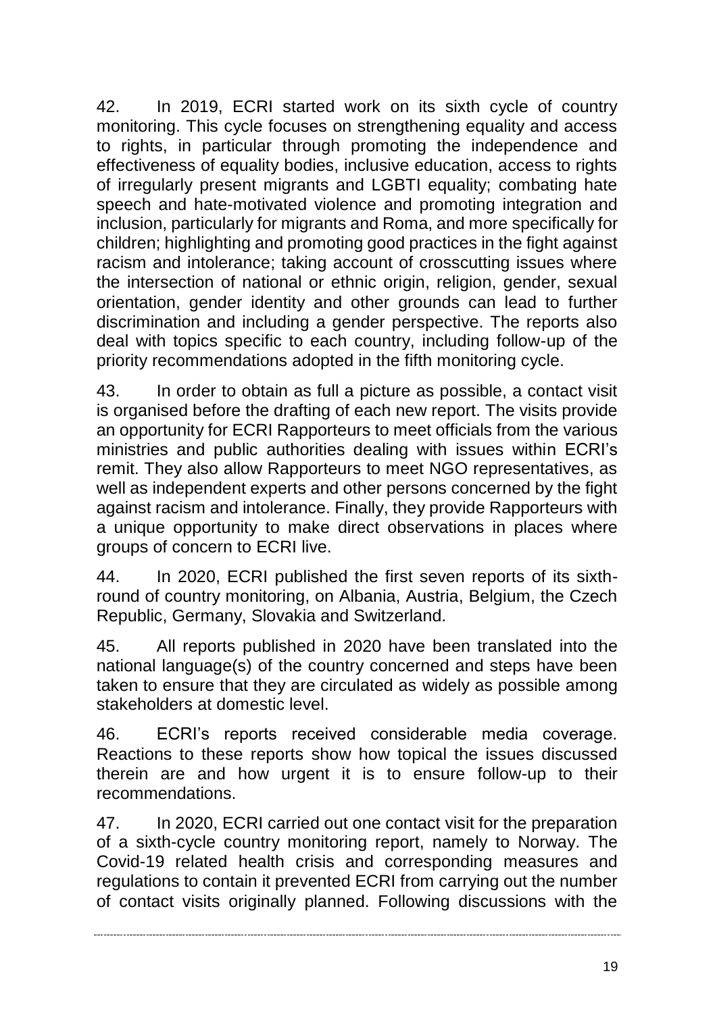42. In 2019, ECRI started work on its sixth cycle of country monitoring. This cycle focuses on strengthening equality and access to rights, in particular through promoting the independence and effectiveness of equality bodies, inclusive education, access to rights of irregularly present migrants and LGBTI equality; combating hate speech and hate-motivated violence and promoting integration and inclusion, particularly for migrants and Roma, and more specifically for children; highlighting and promoting good practices in the fight against racism and intolerance; taking account of crosscutting issues where the intersection of national or ethnic origin, religion, gender, sexual orientation, gender identity and other grounds can lead to further discrimination and including a gender perspective. The reports also deal with topics specific to each country, including follow-up of the priority recommendations adopted in the fifth monitoring cycle.

43. In order to obtain as full a picture as possible, a contact visit is organised before the drafting of each new report. The visits provide an opportunity for ECRI Rapporteurs to meet officials from the various ministries and public authorities dealing with issues within ECRI's remit. They also allow Rapporteurs to meet NGO representatives, as well as independent experts and other persons concerned by the fight against racism and intolerance. Finally, they provide Rapporteurs with a unique opportunity to make direct observations in places where groups of concern to ECRI live.

44. In 2020, ECRI published the first seven reports of its sixthround of country monitoring, on Albania, Austria, Belgium, the Czech Republic, Germany, Slovakia and Switzerland.

45. All reports published in 2020 have been translated into the national language(s) of the country concerned and steps have been taken to ensure that they are circulated as widely as possible among stakeholders at domestic level.

46. ECRI's reports received considerable media coverage. Reactions to these reports show how topical the issues discussed therein are and how urgent it is to ensure follow-up to their recommendations.

47. In 2020, ECRI carried out one contact visit for the preparation of a sixth-cycle country monitoring report, namely to Norway. The Covid-19 related health crisis and corresponding measures and regulations to contain it prevented ECRI from carrying out the number of contact visits originally planned. Following discussions with the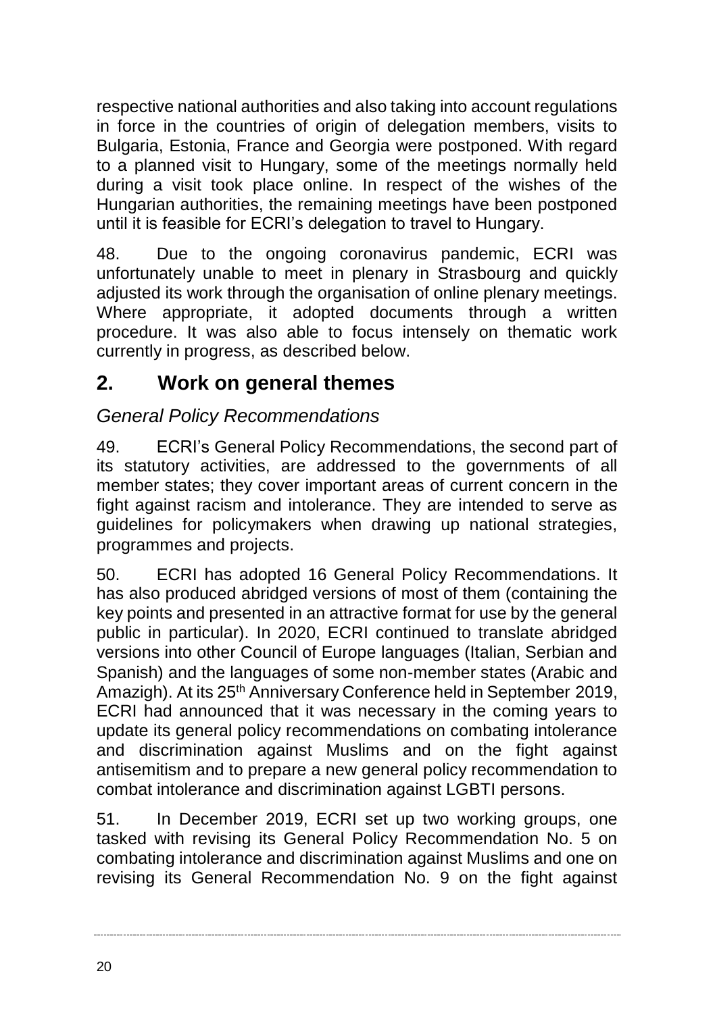respective national authorities and also taking into account regulations in force in the countries of origin of delegation members, visits to Bulgaria, Estonia, France and Georgia were postponed. With regard to a planned visit to Hungary, some of the meetings normally held during a visit took place online. In respect of the wishes of the Hungarian authorities, the remaining meetings have been postponed until it is feasible for ECRI's delegation to travel to Hungary.

48. Due to the ongoing coronavirus pandemic, ECRI was unfortunately unable to meet in plenary in Strasbourg and quickly adjusted its work through the organisation of online plenary meetings. Where appropriate, it adopted documents through a written procedure. It was also able to focus intensely on thematic work currently in progress, as described below.

# <span id="page-19-0"></span>**2. Work on general themes**

### *General Policy Recommendations*

49. ECRI's General Policy Recommendations, the second part of its statutory activities, are addressed to the governments of all member states; they cover important areas of current concern in the fight against racism and intolerance. They are intended to serve as guidelines for policymakers when drawing up national strategies, programmes and projects.

50. ECRI has adopted 16 General Policy Recommendations. It has also produced abridged versions of most of them (containing the key points and presented in an attractive format for use by the general public in particular). In 2020, ECRI continued to translate abridged versions into other Council of Europe languages (Italian, Serbian and Spanish) and the languages of some non-member states (Arabic and Amazigh). At its 25<sup>th</sup> Anniversary Conference held in September 2019, ECRI had announced that it was necessary in the coming years to update its general policy recommendations on combating intolerance and discrimination against Muslims and on the fight against antisemitism and to prepare a new general policy recommendation to combat intolerance and discrimination against LGBTI persons.

51. In December 2019, ECRI set up two working groups, one tasked with revising its General Policy Recommendation No. 5 on combating intolerance and discrimination against Muslims and one on revising its General Recommendation No. 9 on the fight against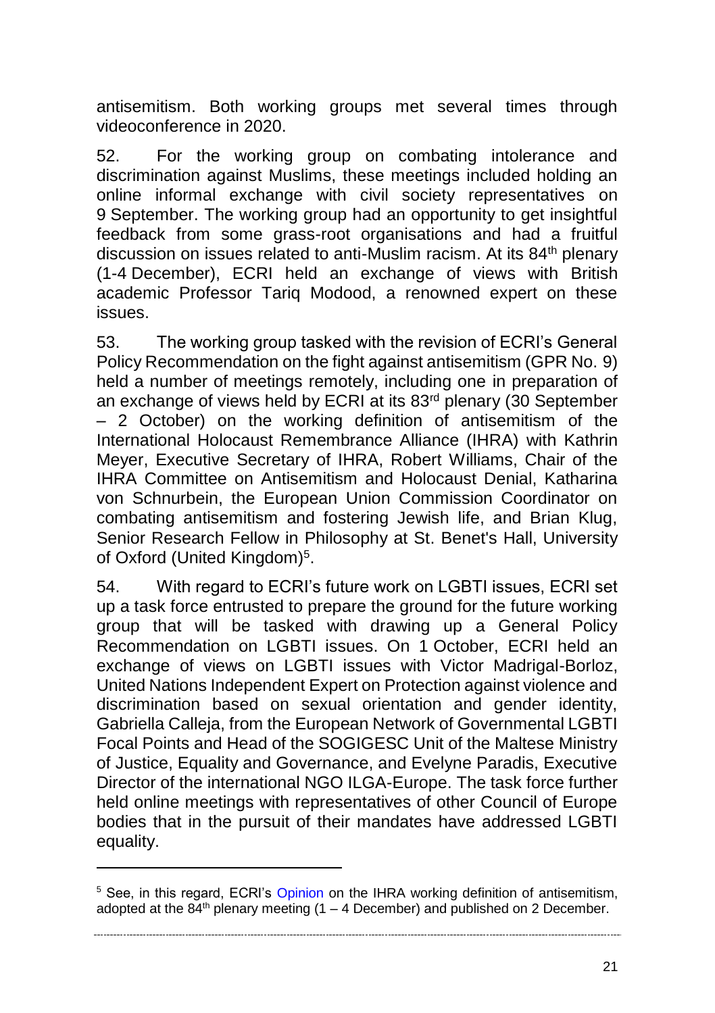antisemitism. Both working groups met several times through videoconference in 2020.

52. For the working group on combating intolerance and discrimination against Muslims, these meetings included holding an online informal exchange with civil society representatives on 9 September. The working group had an opportunity to get insightful feedback from some grass-root organisations and had a fruitful discussion on issues related to anti-Muslim racism. At its 84th plenary (1-4 December), ECRI held an exchange of views with British academic Professor Tariq Modood, a renowned expert on these issues.

53. The working group tasked with the revision of ECRI's General Policy Recommendation on the fight against antisemitism (GPR No. 9) held a number of meetings remotely, including one in preparation of an exchange of views held by ECRI at its 83<sup>rd</sup> plenary (30 September – 2 October) on the working definition of antisemitism of the International Holocaust Remembrance Alliance (IHRA) with Kathrin Meyer, Executive Secretary of IHRA, Robert Williams, Chair of the IHRA Committee on Antisemitism and Holocaust Denial, Katharina von Schnurbein, the European Union Commission Coordinator on combating antisemitism and fostering Jewish life, and Brian Klug, Senior Research Fellow in Philosophy at St. Benet's Hall, University of Oxford (United Kingdom)<sup>5</sup>.

54. With regard to ECRI's future work on LGBTI issues, ECRI set up a task force entrusted to prepare the ground for the future working group that will be tasked with drawing up a General Policy Recommendation on LGBTI issues. On 1 October, ECRI held an exchange of views on LGBTI issues with Victor Madrigal-Borloz, United Nations Independent Expert on Protection against violence and discrimination based on sexual orientation and gender identity, Gabriella Calleja, from the European Network of Governmental LGBTI Focal Points and Head of the SOGIGESC Unit of the Maltese Ministry of Justice, Equality and Governance, and Evelyne Paradis, Executive Director of the international NGO ILGA-Europe. The task force further held online meetings with representatives of other Council of Europe bodies that in the pursuit of their mandates have addressed LGBTI equality.

 $\overline{a}$ 

21

<sup>&</sup>lt;sup>5</sup> See, in this regard, ECRI's [Opinion](https://rm.coe.int/opinion-ecri-on-ihra-wd-on-antisemitism-2755-7610-7522-1/1680a091dd) on the IHRA working definition of antisemitism, adopted at the  $84^{\text{th}}$  plenary meeting (1 – 4 December) and published on 2 December.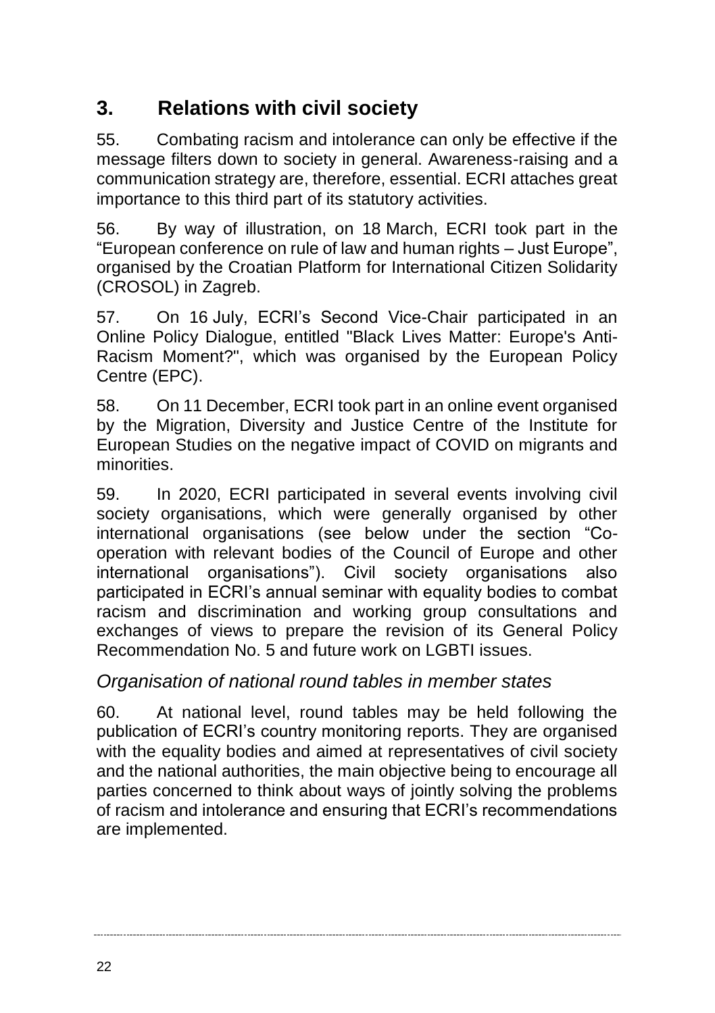# <span id="page-21-0"></span>**3. Relations with civil society**

55. Combating racism and intolerance can only be effective if the message filters down to society in general. Awareness-raising and a communication strategy are, therefore, essential. ECRI attaches great importance to this third part of its statutory activities.

56. By way of illustration, on 18 March, ECRI took part in the "European conference on rule of law and human rights – Just Europe", organised by the Croatian Platform for International Citizen Solidarity (CROSOL) in Zagreb.

57. On 16 July, ECRI's Second Vice-Chair participated in an Online Policy Dialogue, entitled "Black Lives Matter: Europe's Anti-Racism Moment?", which was organised by the European Policy Centre (EPC).

58. On 11 December, ECRI took part in an online event organised by the Migration, Diversity and Justice Centre of the Institute for European Studies on the negative impact of COVID on migrants and minorities.

59. In 2020, ECRI participated in several events involving civil society organisations, which were generally organised by other international organisations (see below under the section "Cooperation with relevant bodies of the Council of Europe and other international organisations"). Civil society organisations also participated in ECRI's annual seminar with equality bodies to combat racism and discrimination and working group consultations and exchanges of views to prepare the revision of its General Policy Recommendation No. 5 and future work on LGBTI issues.

### *Organisation of national round tables in member states*

60. At national level, round tables may be held following the publication of ECRI's country monitoring reports. They are organised with the equality bodies and aimed at representatives of civil society and the national authorities, the main objective being to encourage all parties concerned to think about ways of jointly solving the problems of racism and intolerance and ensuring that ECRI's recommendations are implemented.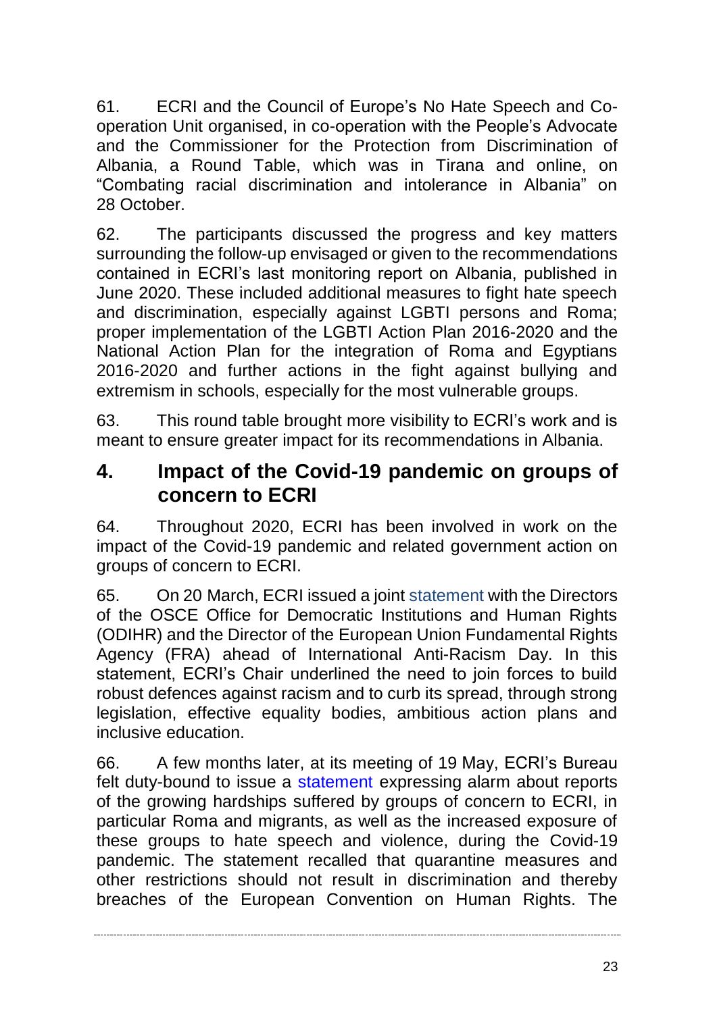61. ECRI and the Council of Europe's No Hate Speech and Cooperation Unit organised, in co-operation with the People's Advocate and the Commissioner for the Protection from Discrimination of Albania, a Round Table, which was in Tirana and online, on "Combating racial discrimination and intolerance in Albania" on 28 October.

62. The participants discussed the progress and key matters surrounding the follow-up envisaged or given to the recommendations contained in ECRI's last monitoring report on Albania, published in June 2020. These included additional measures to fight hate speech and discrimination, especially against LGBTI persons and Roma; proper implementation of the LGBTI Action Plan 2016-2020 and the National Action Plan for the integration of Roma and Egyptians 2016-2020 and further actions in the fight against bullying and extremism in schools, especially for the most vulnerable groups.

63. This round table brought more visibility to ECRI's work and is meant to ensure greater impact for its recommendations in Albania.

### <span id="page-22-0"></span>**4. Impact of the Covid-19 pandemic on groups of concern to ECRI**

64. Throughout 2020, ECRI has been involved in work on the impact of the Covid-19 pandemic and related government action on groups of concern to ECRI.

65. On 20 March, ECRI issued a joint [statement](https://www.coe.int/en/web/european-commission-against-racism-and-intolerance/-/societies-that-stand-together-are-more-resilient-in-times-of-crisis-say-human-rights-heads-on-international-anti-racism-day) with the Directors of the OSCE Office for Democratic Institutions and Human Rights (ODIHR) and the Director of the European Union Fundamental Rights Agency (FRA) ahead of International Anti-Racism Day. In this statement, ECRI's Chair underlined the need to join forces to build robust defences against racism and to curb its spread, through strong legislation, effective equality bodies, ambitious action plans and inclusive education.

66. A few months later, at its meeting of 19 May, ECRI's Bureau felt duty-bound to issue a [statement](https://www.coe.int/en/web/european-commission-against-racism-and-intolerance/-/ecri-s-bureau-holds-exceptional-meeting-and-exchanges-views-with-director-of-fra-and-eu-special-representative-for-human-rights) expressing alarm about reports of the growing hardships suffered by groups of concern to ECRI, in particular Roma and migrants, as well as the increased exposure of these groups to hate speech and violence, during the Covid-19 pandemic. The statement recalled that quarantine measures and other restrictions should not result in discrimination and thereby breaches of the European Convention on Human Rights. The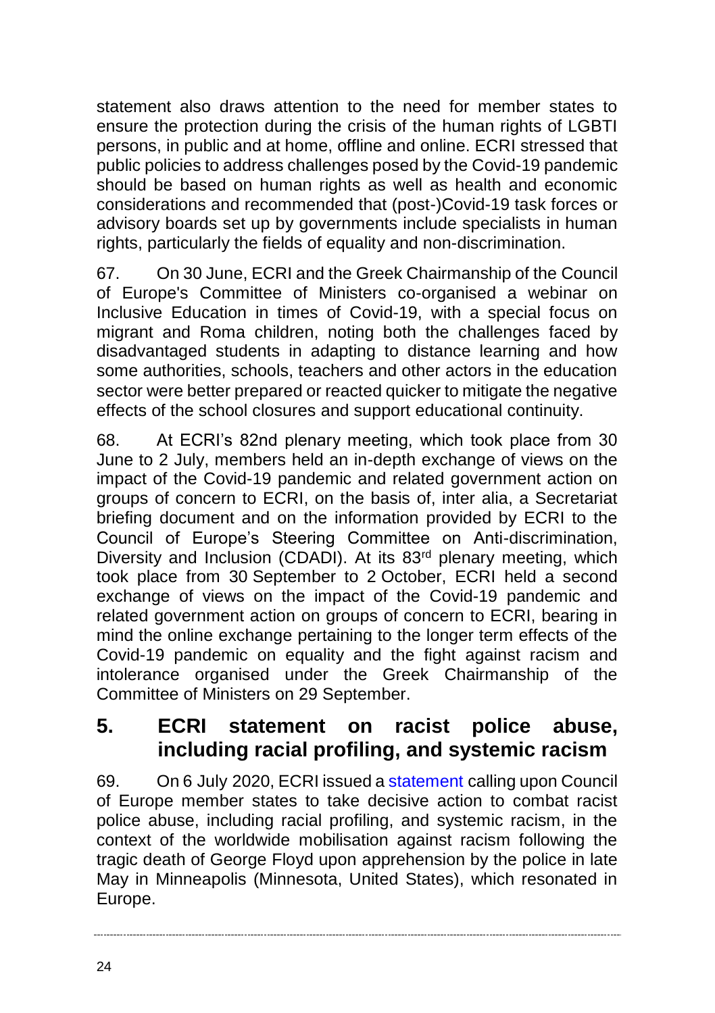statement also draws attention to the need for member states to ensure the protection during the crisis of the human rights of LGBTI persons, in public and at home, offline and online. ECRI stressed that public policies to address challenges posed by the Covid-19 pandemic should be based on human rights as well as health and economic considerations and recommended that (post-)Covid-19 task forces or advisory boards set up by governments include specialists in human rights, particularly the fields of equality and non-discrimination.

67. On 30 June, ECRI and the Greek Chairmanship of the Council of Europe's Committee of Ministers co-organised a webinar on Inclusive Education in times of Covid-19, with a special focus on migrant and Roma children, noting both the challenges faced by disadvantaged students in adapting to distance learning and how some authorities, schools, teachers and other actors in the education sector were better prepared or reacted quicker to mitigate the negative effects of the school closures and support educational continuity.

68. At ECRI's 82nd plenary meeting, which took place from 30 June to 2 July, members held an in-depth exchange of views on the impact of the Covid-19 pandemic and related government action on groups of concern to ECRI, on the basis of, inter alia, a Secretariat briefing document and on the information provided by ECRI to the Council of Europe's Steering Committee on Anti-discrimination, Diversity and Inclusion (CDADI). At its 83<sup>rd</sup> plenary meeting, which took place from 30 September to 2 October, ECRI held a second exchange of views on the impact of the Covid-19 pandemic and related government action on groups of concern to ECRI, bearing in mind the online exchange pertaining to the longer term effects of the Covid-19 pandemic on equality and the fight against racism and intolerance organised under the Greek Chairmanship of the Committee of Ministers on 29 September.

### <span id="page-23-0"></span>**5. ECRI statement on racist police abuse, including racial profiling, and systemic racism**

69. On 6 July 2020, ECRI issued a [statement](https://rm.coe.int/statement-of-ecri-on-racist-police-abuse-including-racial-profiling-an/16809eee6a) calling upon Council of Europe member states to take decisive action to combat racist police abuse, including racial profiling, and systemic racism, in the context of the worldwide mobilisation against racism following the tragic death of George Floyd upon apprehension by the police in late May in Minneapolis (Minnesota, United States), which resonated in Europe.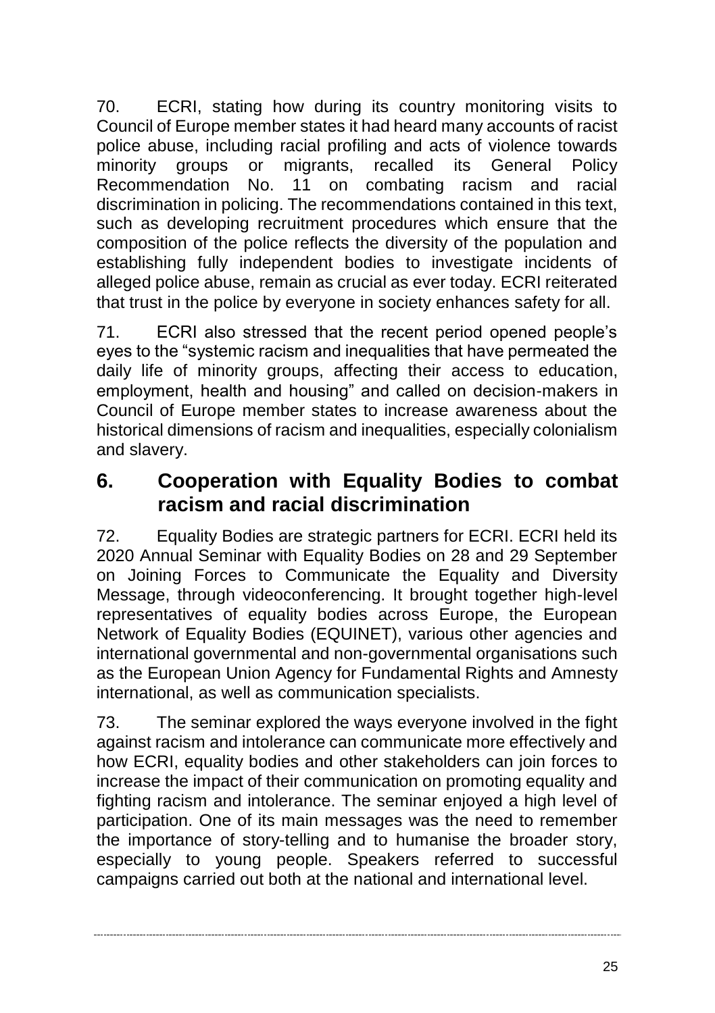70. ECRI, stating how during its country monitoring visits to Council of Europe member states it had heard many accounts of racist police abuse, including racial profiling and acts of violence towards minority groups or migrants, recalled its General Policy<br>Recommendation No. 11 on combating racism and racial No. 11 on combating racism and racial discrimination in policing. The recommendations contained in this text, such as developing recruitment procedures which ensure that the composition of the police reflects the diversity of the population and establishing fully independent bodies to investigate incidents of alleged police abuse, remain as crucial as ever today. ECRI reiterated that trust in the police by everyone in society enhances safety for all.

71. ECRI also stressed that the recent period opened people's eyes to the "systemic racism and inequalities that have permeated the daily life of minority groups, affecting their access to education, employment, health and housing" and called on decision-makers in Council of Europe member states to increase awareness about the historical dimensions of racism and inequalities, especially colonialism and slavery.

# <span id="page-24-0"></span>**6. Cooperation with Equality Bodies to combat racism and racial discrimination**

72. Equality Bodies are strategic partners for ECRI. ECRI held its 2020 Annual Seminar with Equality Bodies on 28 and 29 September on Joining Forces to Communicate the Equality and Diversity Message, through videoconferencing. It brought together high-level representatives of equality bodies across Europe, the European Network of Equality Bodies (EQUINET), various other agencies and international governmental and non-governmental organisations such as the European Union Agency for Fundamental Rights and Amnesty international, as well as communication specialists.

73. The seminar explored the ways everyone involved in the fight against racism and intolerance can communicate more effectively and how ECRI, equality bodies and other stakeholders can join forces to increase the impact of their communication on promoting equality and fighting racism and intolerance. The seminar enjoyed a high level of participation. One of its main messages was the need to remember the importance of story-telling and to humanise the broader story, especially to young people. Speakers referred to successful campaigns carried out both at the national and international level.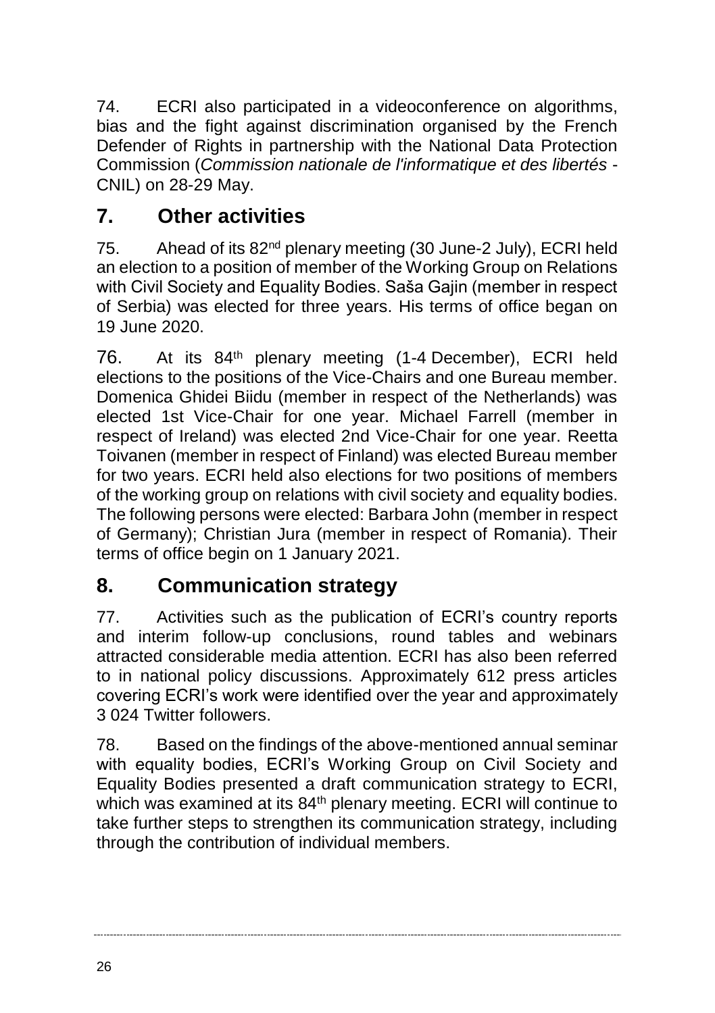74. ECRI also participated in a videoconference on algorithms, bias and the fight against discrimination organised by the French Defender of Rights in partnership with the National Data Protection Commission (*Commission nationale de l'informatique et des libertés* - CNIL) on 28-29 May.

# <span id="page-25-0"></span>**7. Other activities**

75. Ahead of its 82<sup>nd</sup> plenary meeting (30 June-2 July), ECRI held an election to a position of member of the Working Group on Relations with Civil Society and Equality Bodies. Saša Gajin (member in respect of Serbia) was elected for three years. His terms of office began on 19 June 2020.

76. At its 84th plenary meeting (1-4 December), ECRI held elections to the positions of the Vice-Chairs and one Bureau member. Domenica Ghidei Biidu (member in respect of the Netherlands) was elected 1st Vice-Chair for one year. Michael Farrell (member in respect of Ireland) was elected 2nd Vice-Chair for one year. Reetta Toivanen (member in respect of Finland) was elected Bureau member for two years. ECRI held also elections for two positions of members of the working group on relations with civil society and equality bodies. The following persons were elected: Barbara John (member in respect of Germany); Christian Jura (member in respect of Romania). Their terms of office begin on 1 January 2021.

# <span id="page-25-1"></span>**8. Communication strategy**

77. Activities such as the publication of ECRI's country reports and interim follow-up conclusions, round tables and webinars attracted considerable media attention. ECRI has also been referred to in national policy discussions. Approximately 612 press articles covering ECRI's work were identified over the year and approximately 3 024 Twitter followers.

78. Based on the findings of the above-mentioned annual seminar with equality bodies, ECRI's Working Group on Civil Society and Equality Bodies presented a draft communication strategy to ECRI, which was examined at its 84<sup>th</sup> plenary meeting. ECRI will continue to take further steps to strengthen its communication strategy, including through the contribution of individual members.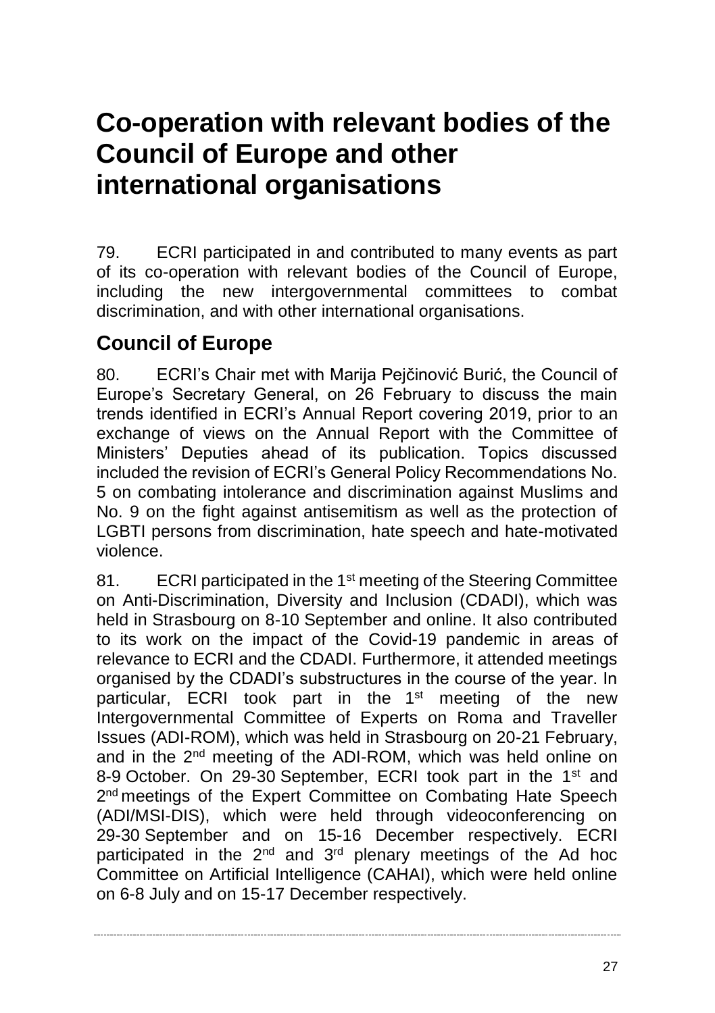# <span id="page-26-0"></span>**Co-operation with relevant bodies of the Council of Europe and other international organisations**

79. ECRI participated in and contributed to many events as part of its co-operation with relevant bodies of the Council of Europe, including the new intergovernmental committees to combat discrimination, and with other international organisations.

# **Council of Europe**

80. ECRI's Chair met with Marija Pejčinović Burić, the Council of Europe's Secretary General, on 26 February to discuss the main trends identified in ECRI's Annual Report covering 2019, prior to an exchange of views on the Annual Report with the Committee of Ministers' Deputies ahead of its publication. Topics discussed included the revision of ECRI's General Policy Recommendations No. 5 on combating intolerance and discrimination against Muslims and No. 9 on the fight against antisemitism as well as the protection of LGBTI persons from discrimination, hate speech and hate-motivated violence.

81. ECRI participated in the 1<sup>st</sup> meeting of the Steering Committee on Anti-Discrimination, Diversity and Inclusion (CDADI), which was held in Strasbourg on 8-10 September and online. It also contributed to its work on the impact of the Covid-19 pandemic in areas of relevance to ECRI and the CDADI. Furthermore, it attended meetings organised by the CDADI's substructures in the course of the year. In particular, ECRI took part in the 1<sup>st</sup> meeting of the new Intergovernmental Committee of Experts on Roma and Traveller Issues (ADI-ROM), which was held in Strasbourg on 20-21 February, and in the 2nd meeting of the ADI-ROM, which was held online on 8-9 October. On 29-30 September, ECRI took part in the 1<sup>st</sup> and 2<sup>nd</sup> meetings of the Expert Committee on Combating Hate Speech (ADI/MSI-DIS), which were held through videoconferencing on 29-30 September and on 15-16 December respectively. ECRI participated in the 2nd and 3rd plenary meetings of the Ad hoc Committee on Artificial Intelligence (CAHAI), which were held online on 6-8 July and on 15-17 December respectively.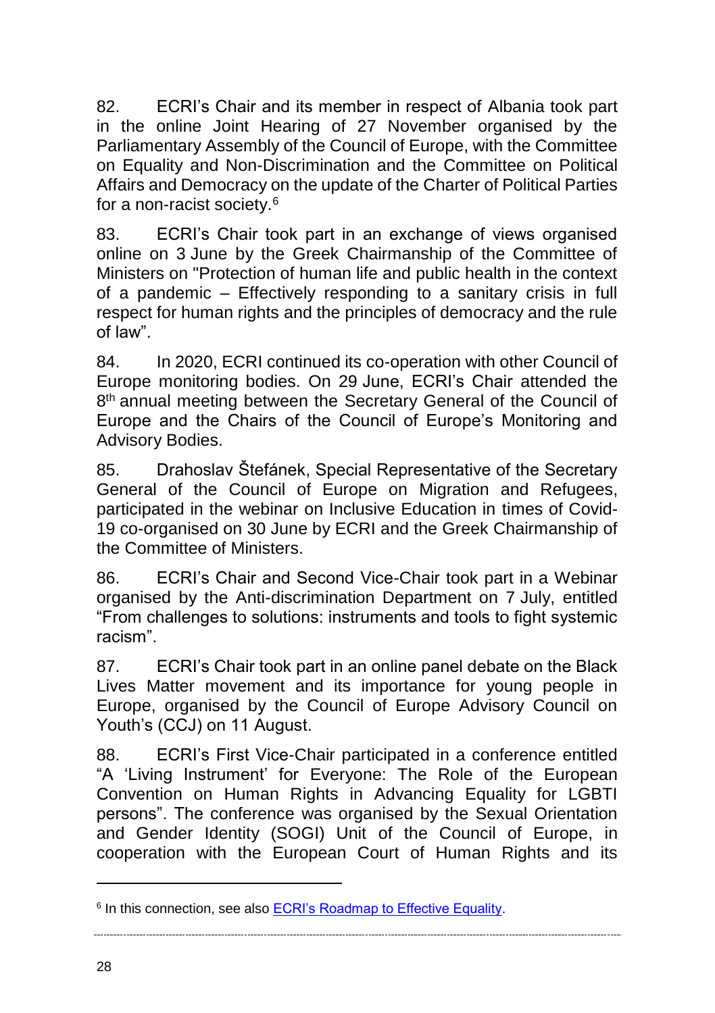82. ECRI's Chair and its member in respect of Albania took part in the online Joint Hearing of 27 November organised by the Parliamentary Assembly of the Council of Europe, with the Committee on Equality and Non-Discrimination and the Committee on Political Affairs and Democracy on the update of the Charter of Political Parties for a non-racist society.<sup>6</sup>

83. ECRI's Chair took part in an exchange of views organised online on 3 June by the Greek Chairmanship of the Committee of Ministers on "Protection of human life and public health in the context of a pandemic – Effectively responding to a sanitary crisis in full respect for human rights and the principles of democracy and the rule of law".

84. In 2020, ECRI continued its co-operation with other Council of Europe monitoring bodies. On 29 June, ECRI's Chair attended the 8 th annual meeting between the Secretary General of the Council of Europe and the Chairs of the Council of Europe's Monitoring and Advisory Bodies.

85. Drahoslav Štefánek, Special Representative of the Secretary General of the Council of Europe on Migration and Refugees, participated in the webinar on Inclusive Education in times of Covid-19 co-organised on 30 June by ECRI and the Greek Chairmanship of the Committee of Ministers.

86. ECRI's Chair and Second Vice-Chair took part in a Webinar organised by the Anti-discrimination Department on 7 July, entitled "From challenges to solutions: instruments and tools to fight systemic racism".

87. ECRI's Chair took part in an online panel debate on the Black Lives Matter movement and its importance for young people in Europe, organised by the Council of Europe Advisory Council on Youth's (CCJ) on 11 August.

88. ECRI's First Vice-Chair participated in a conference entitled "A 'Living Instrument' for Everyone: The Role of the European Convention on Human Rights in Advancing Equality for LGBTI persons". The conference was organised by the Sexual Orientation and Gender Identity (SOGI) Unit of the Council of Europe, in cooperation with the European Court of Human Rights and its

 $\overline{a}$ 

<sup>&</sup>lt;sup>6</sup> In this connection, see also **ECRI's Roadmap to Effective Equality**.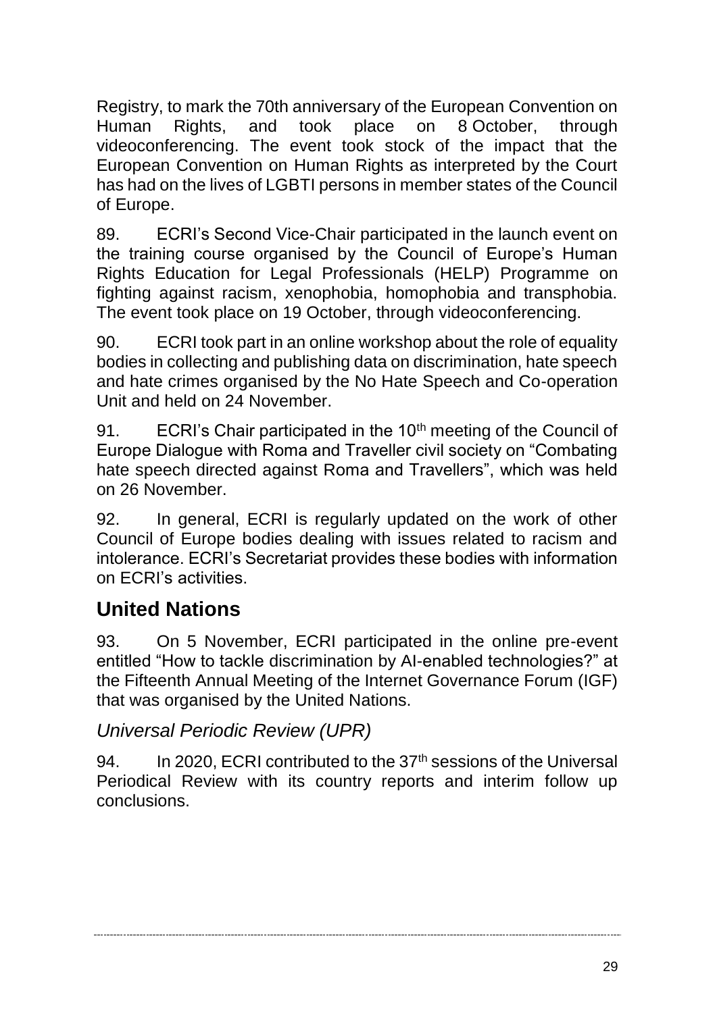Registry, to mark the 70th anniversary of the European Convention on<br>Human Rights, and took place on 8 October, through Human Rights, and took place on 8 October, through videoconferencing. The event took stock of the impact that the European Convention on Human Rights as interpreted by the Court has had on the lives of LGBTI persons in member states of the Council of Europe.

89. ECRI's Second Vice-Chair participated in the launch event on the training course organised by the Council of Europe's Human Rights Education for Legal Professionals (HELP) Programme on fighting against racism, xenophobia, homophobia and transphobia. The event took place on 19 October, through videoconferencing.

90. ECRI took part in an online workshop about the role of equality bodies in collecting and publishing data on discrimination, hate speech and hate crimes organised by the No Hate Speech and Co-operation Unit and held on 24 November.

91. ECRI's Chair participated in the 10<sup>th</sup> meeting of the Council of Europe Dialogue with Roma and Traveller civil society on "Combating hate speech directed against Roma and Travellers", which was held on 26 November.

92. In general, ECRI is regularly updated on the work of other Council of Europe bodies dealing with issues related to racism and intolerance. ECRI's Secretariat provides these bodies with information on ECRI's activities.

# **United Nations**

93. On 5 November, ECRI participated in the online pre-event entitled "How to tackle discrimination by AI-enabled technologies?" at the Fifteenth Annual Meeting of the Internet Governance Forum (IGF) that was organised by the United Nations.

#### *Universal Periodic Review (UPR)*

94. In 2020, ECRI contributed to the  $37<sup>th</sup>$  sessions of the Universal Periodical Review with its country reports and interim follow up conclusions.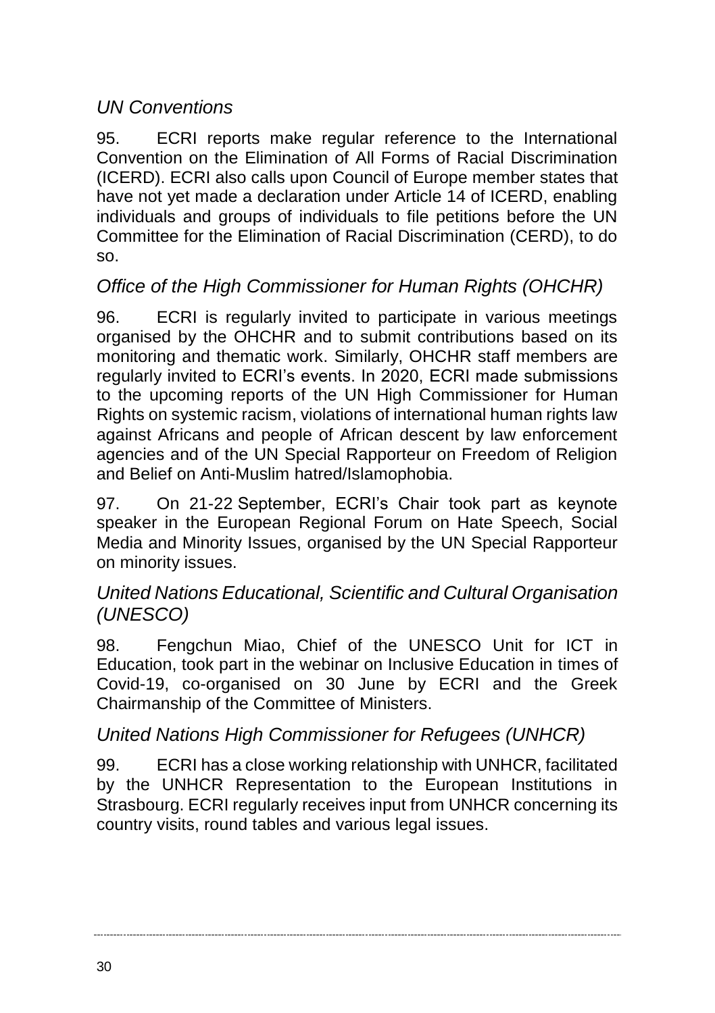### *UN Conventions*

95. ECRI reports make regular reference to the International Convention on the Elimination of All Forms of Racial Discrimination (ICERD). ECRI also calls upon Council of Europe member states that have not yet made a declaration under Article 14 of ICERD, enabling individuals and groups of individuals to file petitions before the UN Committee for the Elimination of Racial Discrimination (CERD), to do so.

#### *Office of the High Commissioner for Human Rights (OHCHR)*

96. ECRI is regularly invited to participate in various meetings organised by the OHCHR and to submit contributions based on its monitoring and thematic work. Similarly, OHCHR staff members are regularly invited to ECRI's events. In 2020, ECRI made submissions to the upcoming reports of the UN High Commissioner for Human Rights on systemic racism, violations of international human rights law against Africans and people of African descent by law enforcement agencies and of the UN Special Rapporteur on Freedom of Religion and Belief on Anti-Muslim hatred/Islamophobia.

97. On 21-22 September, ECRI's Chair took part as keynote speaker in the European Regional Forum on Hate Speech, Social Media and Minority Issues, organised by the UN Special Rapporteur on minority issues.

#### *United Nations Educational, Scientific and Cultural Organisation (UNESCO)*

98. Fengchun Miao, Chief of the UNESCO Unit for ICT in Education, took part in the webinar on Inclusive Education in times of Covid-19, co-organised on 30 June by ECRI and the Greek Chairmanship of the Committee of Ministers.

#### *United Nations High Commissioner for Refugees (UNHCR)*

99. ECRI has a close working relationship with UNHCR, facilitated by the UNHCR Representation to the European Institutions in Strasbourg. ECRI regularly receives input from UNHCR concerning its country visits, round tables and various legal issues.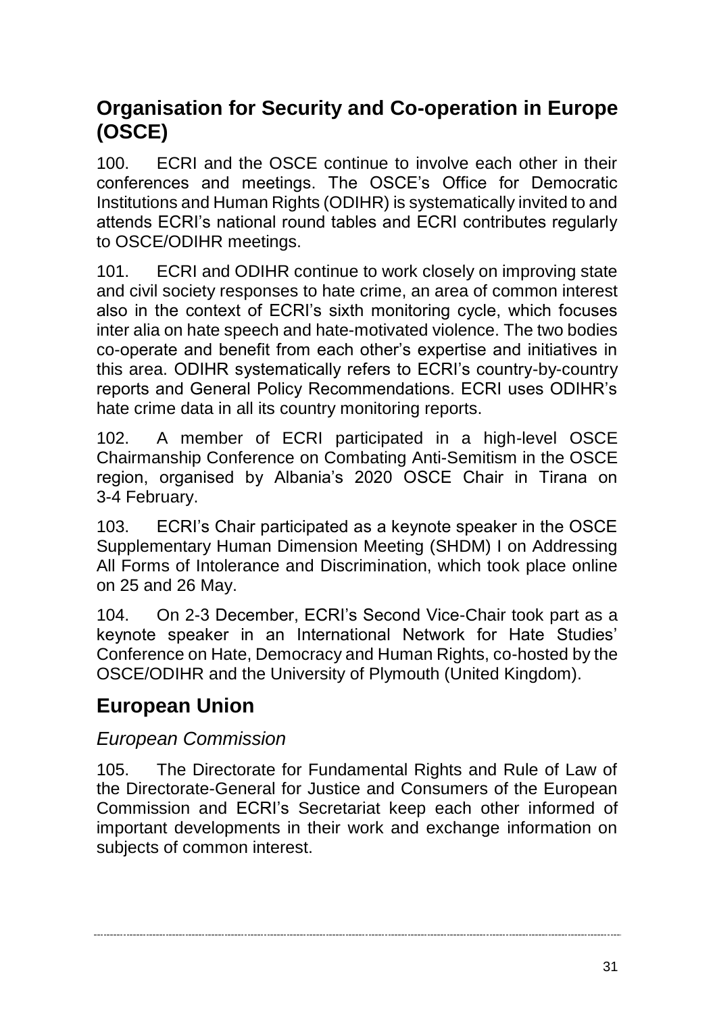# **Organisation for Security and Co-operation in Europe (OSCE)**

100. ECRI and the OSCE continue to involve each other in their conferences and meetings. The OSCE's Office for Democratic Institutions and Human Rights (ODIHR) is systematically invited to and attends ECRI's national round tables and ECRI contributes regularly to OSCE/ODIHR meetings.

101. ECRI and ODIHR continue to work closely on improving state and civil society responses to hate crime, an area of common interest also in the context of ECRI's sixth monitoring cycle, which focuses inter alia on hate speech and hate-motivated violence. The two bodies co-operate and benefit from each other's expertise and initiatives in this area. ODIHR systematically refers to ECRI's country-by-country reports and General Policy Recommendations. ECRI uses ODIHR's hate crime data in all its country monitoring reports.

102. A member of ECRI participated in a high-level OSCE Chairmanship Conference on Combating Anti-Semitism in the OSCE region, organised by Albania's 2020 OSCE Chair in Tirana on 3-4 February.

103. ECRI's Chair participated as a keynote speaker in the OSCE Supplementary Human Dimension Meeting (SHDM) I on Addressing All Forms of Intolerance and Discrimination, which took place online on 25 and 26 May.

104. On 2-3 December, ECRI's Second Vice-Chair took part as a keynote speaker in an International Network for Hate Studies' Conference on Hate, Democracy and Human Rights, co-hosted by the OSCE/ODIHR and the University of Plymouth (United Kingdom).

# **European Union**

# *European Commission*

105. The Directorate for Fundamental Rights and Rule of Law of the Directorate-General for Justice and Consumers of the European Commission and ECRI's Secretariat keep each other informed of important developments in their work and exchange information on subjects of common interest.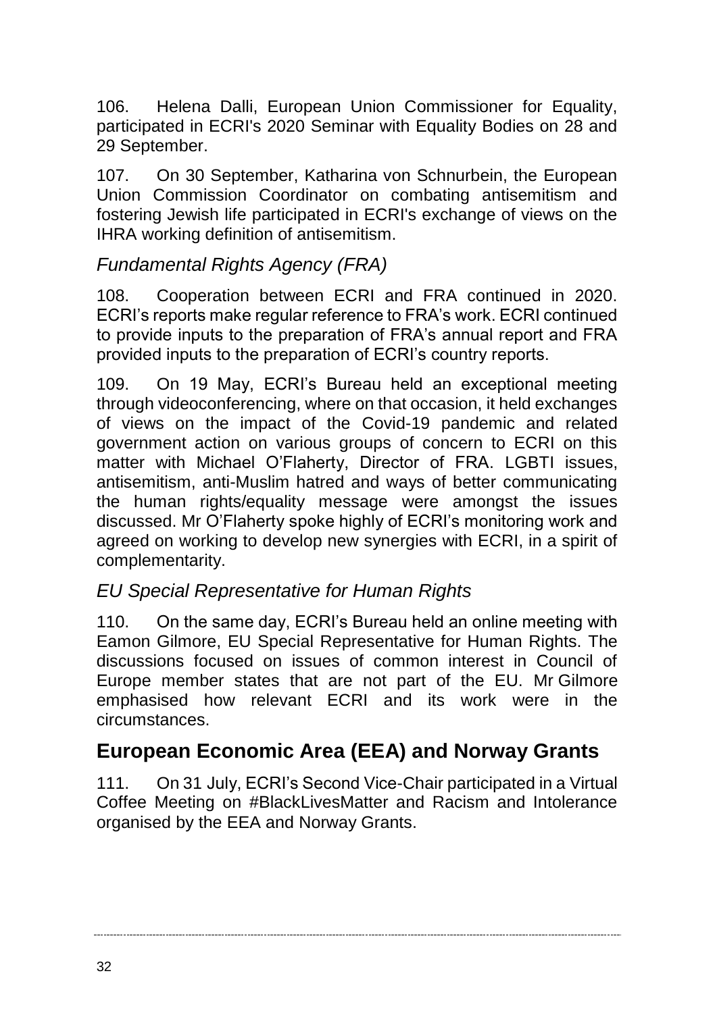106. Helena Dalli, European Union Commissioner for Equality, participated in ECRI's 2020 Seminar with Equality Bodies on 28 and 29 September.

107. On 30 September, Katharina von Schnurbein, the European Union Commission Coordinator on combating antisemitism and fostering Jewish life participated in ECRI's exchange of views on the IHRA working definition of antisemitism.

#### *Fundamental Rights Agency (FRA)*

108. Cooperation between ECRI and FRA continued in 2020. ECRI's reports make regular reference to FRA's work. ECRI continued to provide inputs to the preparation of FRA's annual report and FRA provided inputs to the preparation of ECRI's country reports.

109. On 19 May, ECRI's Bureau held an exceptional meeting through videoconferencing, where on that occasion, it held exchanges of views on the impact of the Covid-19 pandemic and related government action on various groups of concern to ECRI on this matter with Michael O'Flaherty, Director of FRA. LGBTI issues, antisemitism, anti-Muslim hatred and ways of better communicating the human rights/equality message were amongst the issues discussed. Mr O'Flaherty spoke highly of ECRI's monitoring work and agreed on working to develop new synergies with ECRI, in a spirit of complementarity.

#### *EU Special Representative for Human Rights*

110. On the same day, ECRI's Bureau held an online meeting with Eamon Gilmore, EU Special Representative for Human Rights. The discussions focused on issues of common interest in Council of Europe member states that are not part of the EU. Mr Gilmore emphasised how relevant ECRI and its work were in the circumstances.

# **European Economic Area (EEA) and Norway Grants**

111. On 31 July, ECRI's Second Vice-Chair participated in a Virtual Coffee Meeting on #BlackLivesMatter and Racism and Intolerance organised by the EEA and Norway Grants.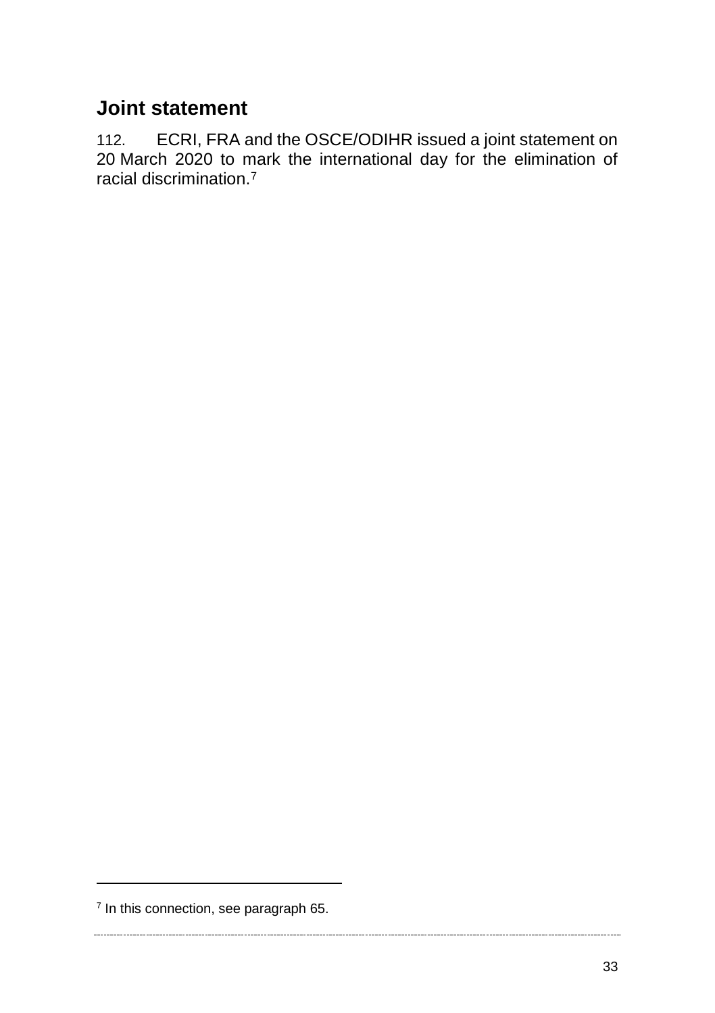# **Joint statement**

112. ECRI, FRA and the OSCE/ODIHR issued a joint statement on 20 March 2020 to mark the international day for the elimination of racial discrimination.<sup>7</sup>

 $\overline{a}$ 

<sup>&</sup>lt;sup>7</sup> In this connection, see paragraph 65.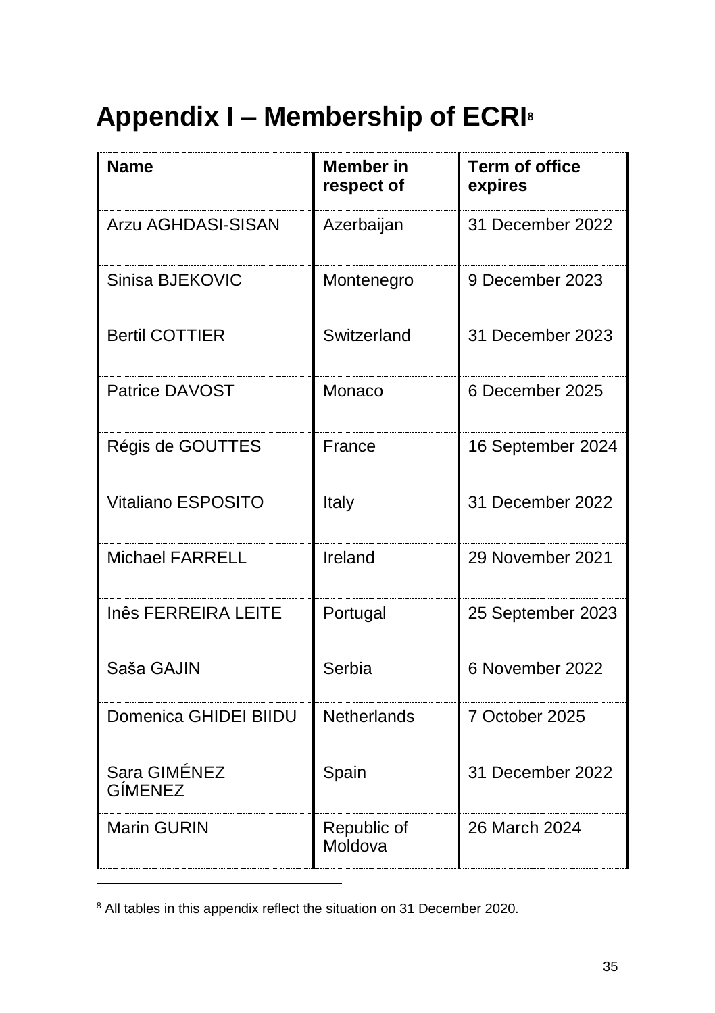# <span id="page-34-0"></span>**Appendix I – Membership of ECRI<sup>8</sup>**

| <b>Name</b>             | <b>Member</b> in<br>respect of | <b>Term of office</b><br>expires |
|-------------------------|--------------------------------|----------------------------------|
| Arzu AGHDASI-SISAN      | Azerbaijan                     | 31 December 2022                 |
| Sinisa BJEKOVIC         | Montenegro                     | 9 December 2023                  |
| <b>Bertil COTTIER</b>   | Switzerland                    | 31 December 2023                 |
| Patrice DAVOST          | Monaco                         | 6 December 2025                  |
| Régis de GOUTTES        | France                         | 16 September 2024                |
| Vitaliano ESPOSITO      | Italy                          | 31 December 2022                 |
| <b>Michael FARRELL</b>  | Ireland                        | 29 November 2021                 |
| Inês FERREIRA LEITE     | Portugal                       | 25 September 2023                |
| Saša GAJIN              | Serbia                         | 6 November 2022                  |
| Domenica GHIDEI BIIDU   | Netherlands                    | 7 October 2025                   |
| Sara GIMÉNEZ<br>GÍMENEZ | Spain                          | 31 December 2022                 |
| <b>Marin GURIN</b>      | Republic of<br>Moldova         | 26 March 2024                    |

<sup>&</sup>lt;sup>8</sup> All tables in this appendix reflect the situation on 31 December 2020.

 $\overline{a}$ 

------------------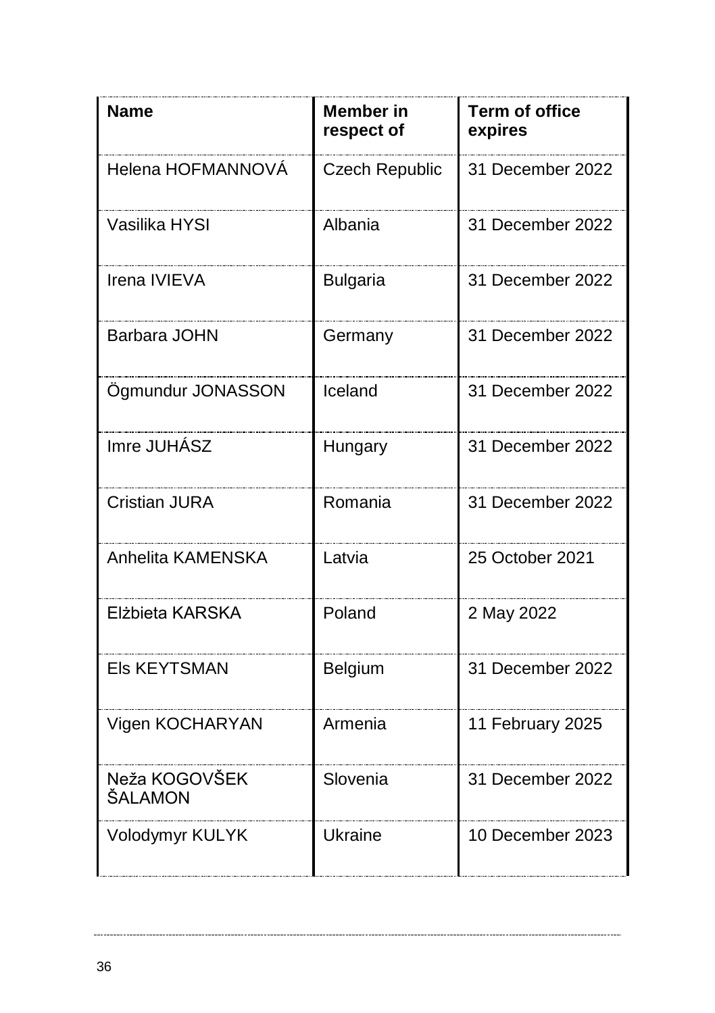| <b>Name</b>              | <b>Member</b> in<br>respect of | <b>Term of office</b><br>expires |
|--------------------------|--------------------------------|----------------------------------|
| Helena HOFMANNOVÁ        | Czech Republic                 | 31 December 2022                 |
| Vasilika HYSI            | Albania                        | 31 December 2022                 |
| Irena IVIEVA             | <b>Bulgaria</b>                | 31 December 2022                 |
| Barbara JOHN             | Germany                        | 31 December 2022                 |
| Ögmundur JONASSON        | Iceland                        | 31 December 2022                 |
| Imre JUHÁSZ              | Hungary                        | 31 December 2022                 |
| Cristian JURA            | Romania                        | 31 December 2022                 |
| Anhelita KAMENSKA        | Latvia                         | 25 October 2021                  |
| Elżbieta KARSKA          | Poland                         | 2 May 2022                       |
| <b>Els KEYTSMAN</b>      | Belgium                        | 31 December 2022                 |
| Vigen KOCHARYAN          | Armenia                        | 11 February 2025                 |
| Neža KOGOVŠEK<br>ŠALAMON | Slovenia                       | 31 December 2022                 |
| Volodymyr KULYK          | <b>Ukraine</b>                 | 10 December 2023                 |

 $\sim$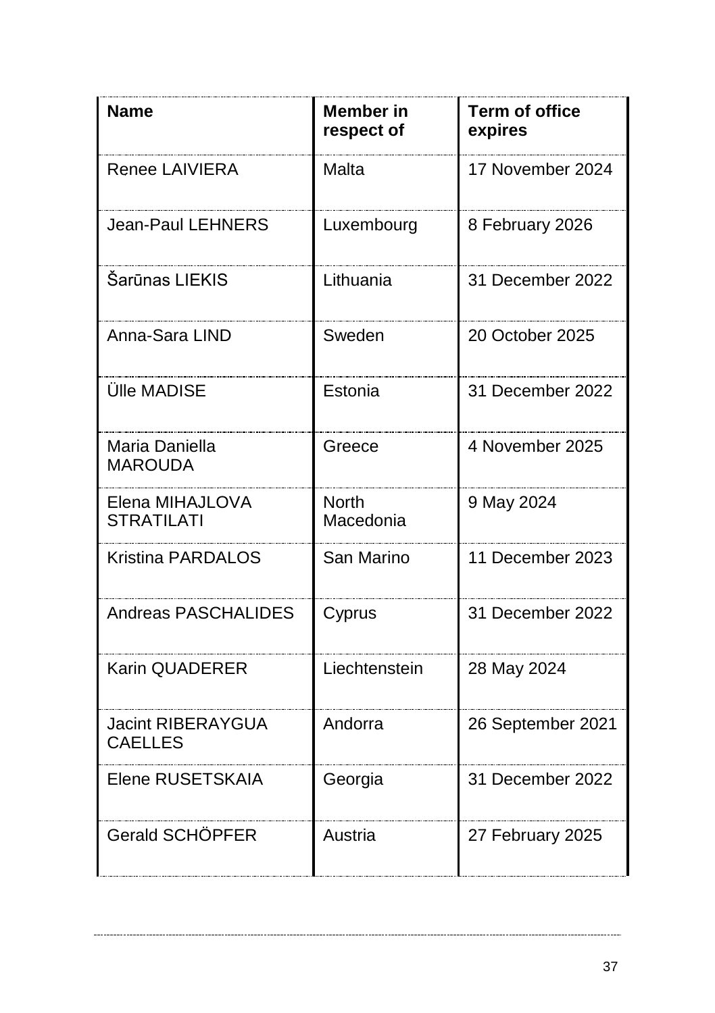| <b>Name</b>                                | <b>Member</b> in<br>respect of | <b>Term of office</b><br>expires |
|--------------------------------------------|--------------------------------|----------------------------------|
| Renee LAIVIERA                             | Malta                          | 17 November 2024                 |
| Jean-Paul LEHNERS                          | Luxembourg                     | 8 February 2026                  |
| Šarūnas LIEKIS                             | Lithuania                      | 31 December 2022                 |
| Anna-Sara LIND                             | Sweden                         | 20 October 2025                  |
| Ülle MADISE                                | Estonia                        | 31 December 2022                 |
| Maria Daniella<br><b>MAROUDA</b>           | Greece                         | 4 November 2025                  |
| Elena MIHAJLOVA<br><b>STRATILATI</b>       | <b>North</b><br>Macedonia      | 9 May 2024                       |
| <b>Kristina PARDALOS</b>                   | San Marino                     | 11 December 2023                 |
| Andreas PASCHALIDES                        | Cyprus                         | 31 December 2022                 |
| <b>Karin QUADERER</b>                      | Liechtenstein                  | 28 May 2024                      |
| <b>Jacint RIBERAYGUA</b><br><b>CAELLES</b> | Andorra                        | 26 September 2021                |
| Elene RUSETSKAIA                           | Georgia                        | 31 December 2022                 |
| Gerald SCHÖPFER                            | Austria                        | 27 February 2025                 |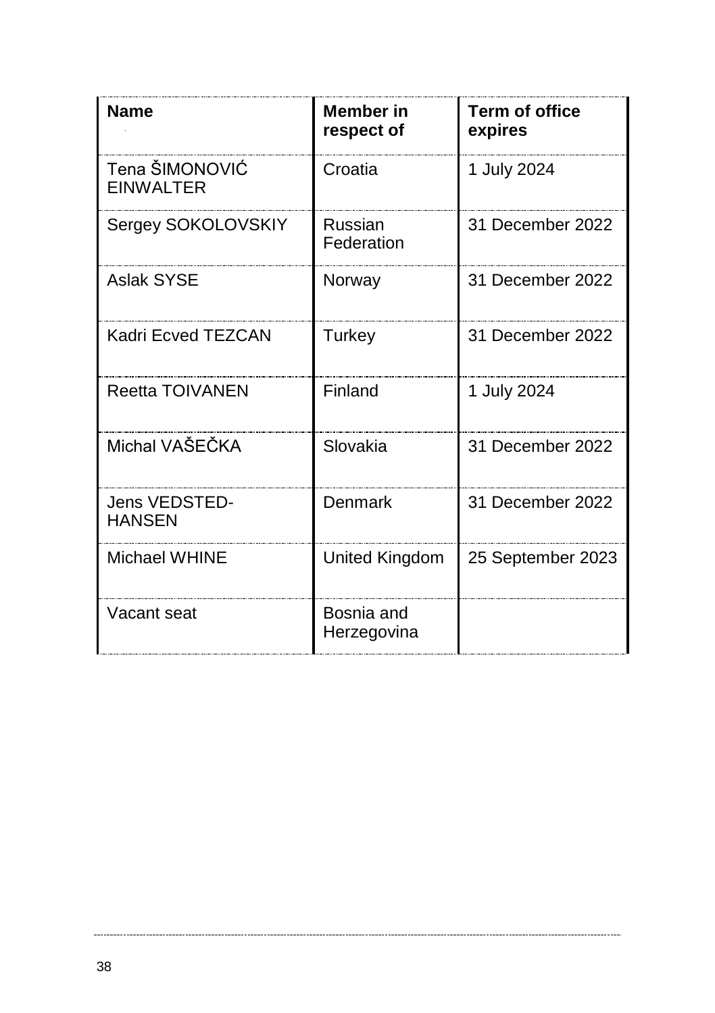| <b>Name</b>                        | Member in<br>respect of   | <b>Term of office</b><br>expires |
|------------------------------------|---------------------------|----------------------------------|
| Tena ŠIMONOVIĆ<br><b>EINWALTER</b> | Croatia                   | 1 July 2024                      |
| Sergey SOKOLOVSKIY                 | Russian<br>Federation     | 31 December 2022                 |
| <b>Aslak SYSE</b>                  | Norway                    | 31 December 2022                 |
| Kadri Ecved TEZCAN                 | Turkey                    | 31 December 2022                 |
| <b>Reetta TOIVANEN</b>             | Finland                   | 1 July 2024                      |
| Michal VAŠEČKA                     | Slovakia                  | 31 December 2022                 |
| Jens VEDSTED-<br><b>HANSEN</b>     | Denmark                   | 31 December 2022                 |
| Michael WHINE                      | United Kingdom            | 25 September 2023                |
| Vacant seat                        | Bosnia and<br>Herzegovina |                                  |

 $\sim$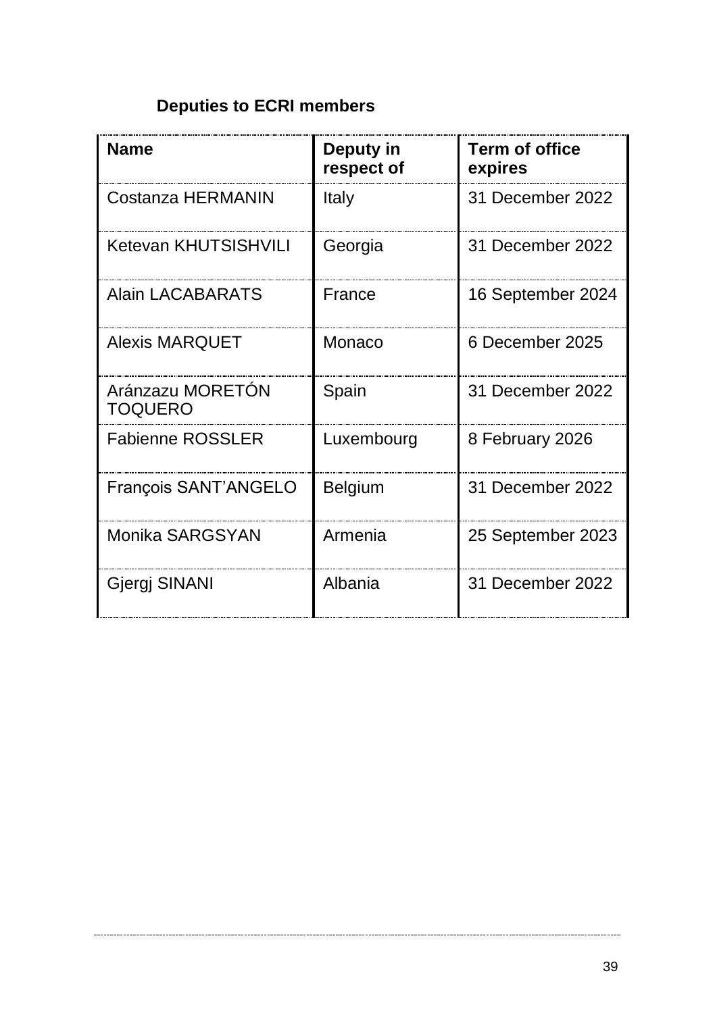# **Deputies to ECRI members**

| <b>Name</b>                 | Deputy in<br>respect of | Term of office<br>expires |
|-----------------------------|-------------------------|---------------------------|
| Costanza HERMANIN           | Italy                   | 31 December 2022          |
| Ketevan KHUTSISHVILI        | Georgia                 | 31 December 2022          |
| Alain LACABARATS            | France                  | 16 September 2024         |
| Alexis MARQUET              | Monaco                  | 6 December 2025           |
| Aránzazu MORETÓN<br>TOQUERO | Spain                   | 31 December 2022          |
| <b>Fabienne ROSSLER</b>     | Luxembourg              | 8 February 2026           |
| François SANT'ANGELO        | Belgium                 | 31 December 2022          |
| Monika SARGSYAN             | Armenia                 | 25 September 2023         |
| Gjergj SINANI               | Albania                 | 31 December 2022          |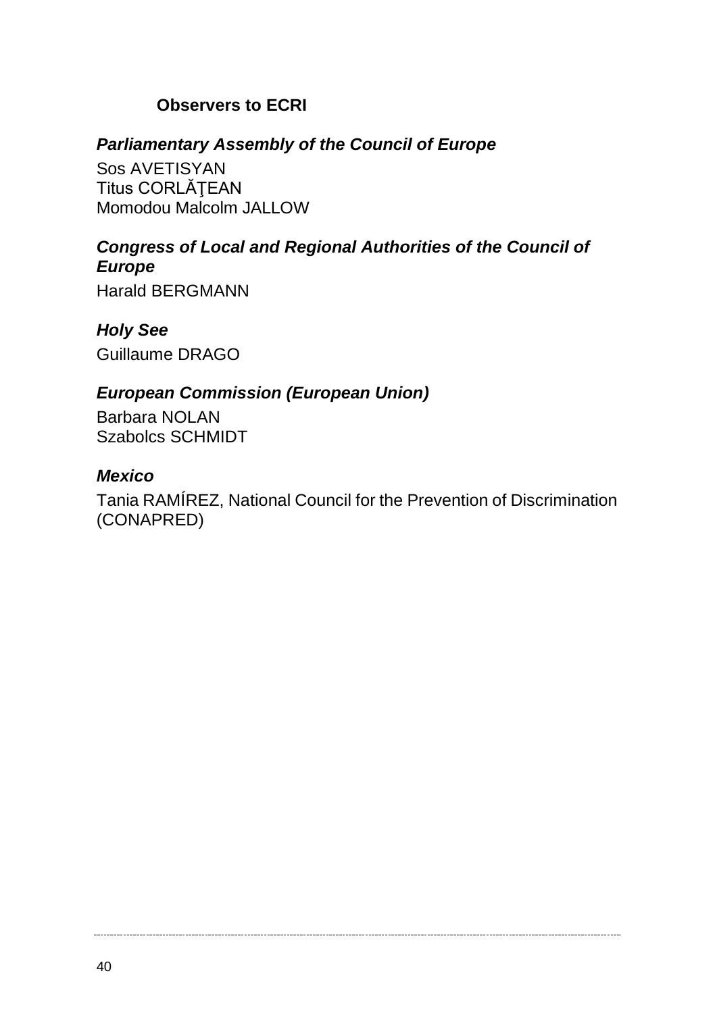#### **Observers to ECRI**

#### *Parliamentary Assembly of the Council of Europe*

Sos AVETISYAN Titus CORLĂŢEAN Momodou Malcolm JALLOW

#### *Congress of Local and Regional Authorities of the Council of Europe*

Harald BERGMANN

*Holy See* Guillaume DRAGO

#### *European Commission (European Union)*

Barbara NOLAN Szabolcs SCHMIDT

#### *Mexico*

Tania RAMÍREZ, National Council for the Prevention of Discrimination (CONAPRED)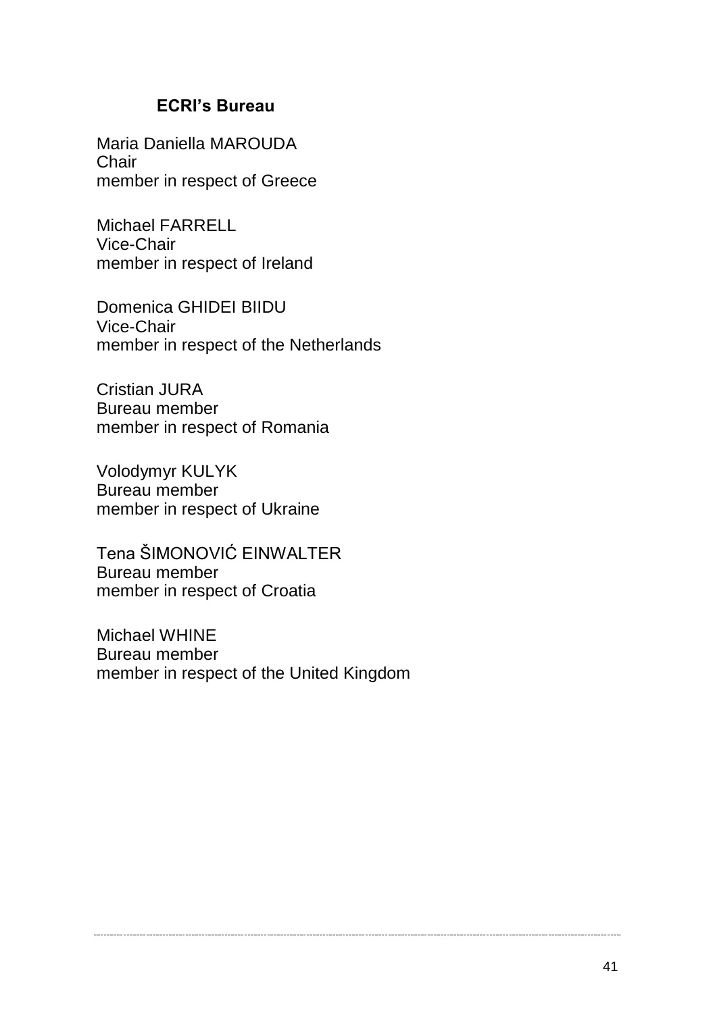#### **ECRI's Bureau**

Maria Daniella MAROUDA **Chair** member in respect of Greece

Michael FARRELL Vice-Chair member in respect of Ireland

Domenica GHIDEI BIIDU Vice-Chair member in respect of the Netherlands

Cristian JURA Bureau member member in respect of Romania

Volodymyr KULYK Bureau member member in respect of Ukraine

Tena ŠIMONOVIĆ EINWALTER Bureau member member in respect of Croatia

Michael WHINE Bureau member member in respect of the United Kingdom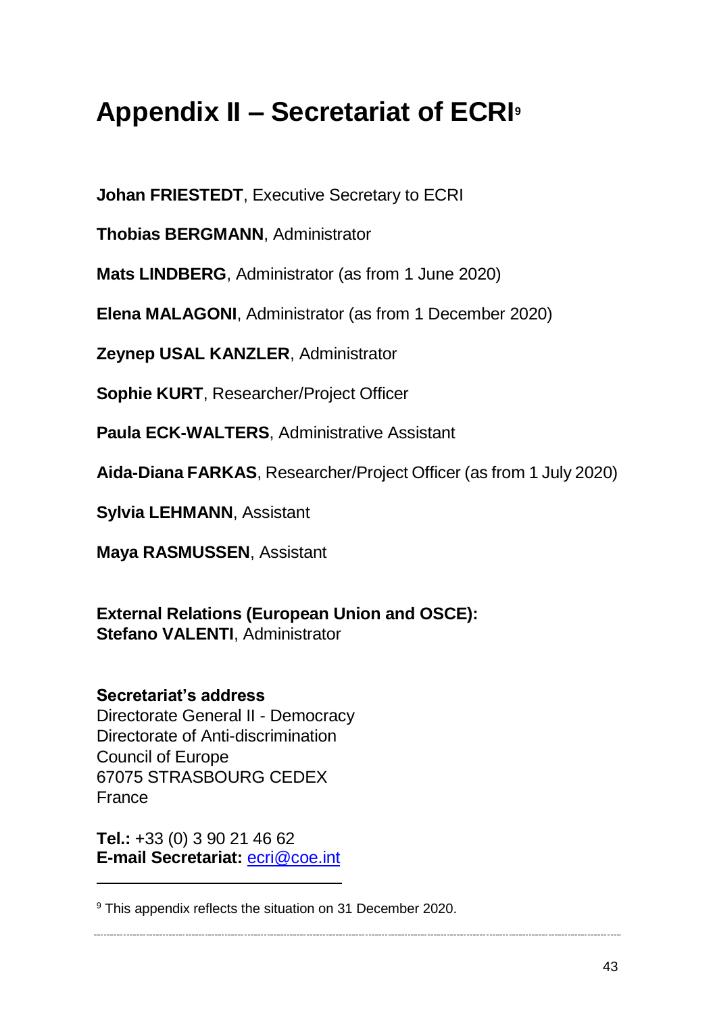# <span id="page-42-0"></span>**Appendix II – Secretariat of ECRI<sup>9</sup>**

**Johan FRIESTEDT**, Executive Secretary to ECRI

**Thobias BERGMANN**, Administrator

**Mats LINDBERG**, Administrator (as from 1 June 2020)

**Elena MALAGONI**, Administrator (as from 1 December 2020)

**Zeynep USAL KANZLER**, Administrator

**Sophie KURT**, Researcher/Project Officer

**Paula ECK-WALTERS**, Administrative Assistant

**Aida-Diana FARKAS**, Researcher/Project Officer (as from 1 July 2020)

**Sylvia LEHMANN**, Assistant

**Maya RASMUSSEN**, Assistant

**External Relations (European Union and OSCE): Stefano VALENTI**, Administrator

**Secretariat's address**  Directorate General II - Democracy Directorate of Anti-discrimination Council of Europe 67075 STRASBOURG CEDEX France

**Tel.:** +33 (0) 3 90 21 46 62 **E-mail Secretariat:** [ecri@coe.int](mailto:ecri@coe.int)

 $\overline{a}$ 

<sup>&</sup>lt;sup>9</sup> This appendix reflects the situation on 31 December 2020.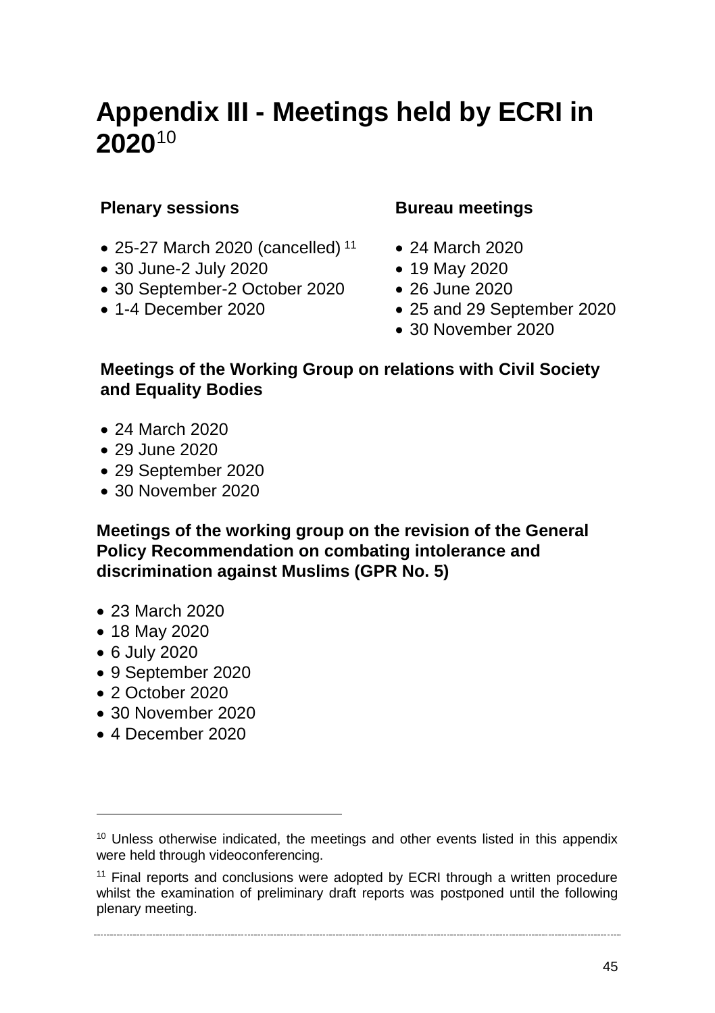# <span id="page-44-0"></span>**Appendix III - Meetings held by ECRI in 2020**<sup>10</sup>

#### **Plenary sessions**

- $\bullet$  25-27 March 2020 (cancelled)<sup>11</sup>
- 30 June-2 July 2020
- 30 September-2 October 2020
- $\bullet$  1-4 December 2020

#### **Bureau meetings**

- 24 March 2020
- 19 May 2020
- 26 June 2020
- 25 and 29 September 2020
- 30 November 2020

#### **Meetings of the Working Group on relations with Civil Society and Equality Bodies**

- 24 March 2020
- 29 June 2020
- 29 September 2020
- 30 November 2020

**Meetings of the working group on the revision of the General Policy Recommendation on combating intolerance and discrimination against Muslims (GPR No. 5)** 

- 23 March 2020
- 18 May 2020
- 6 July 2020

 $\overline{a}$ 

- 9 September 2020
- 2 October 2020
- 30 November 2020
- 4 December 2020

<sup>&</sup>lt;sup>10</sup> Unless otherwise indicated, the meetings and other events listed in this appendix were held through videoconferencing.

 $11$  Final reports and conclusions were adopted by ECRI through a written procedure whilst the examination of preliminary draft reports was postponed until the following plenary meeting.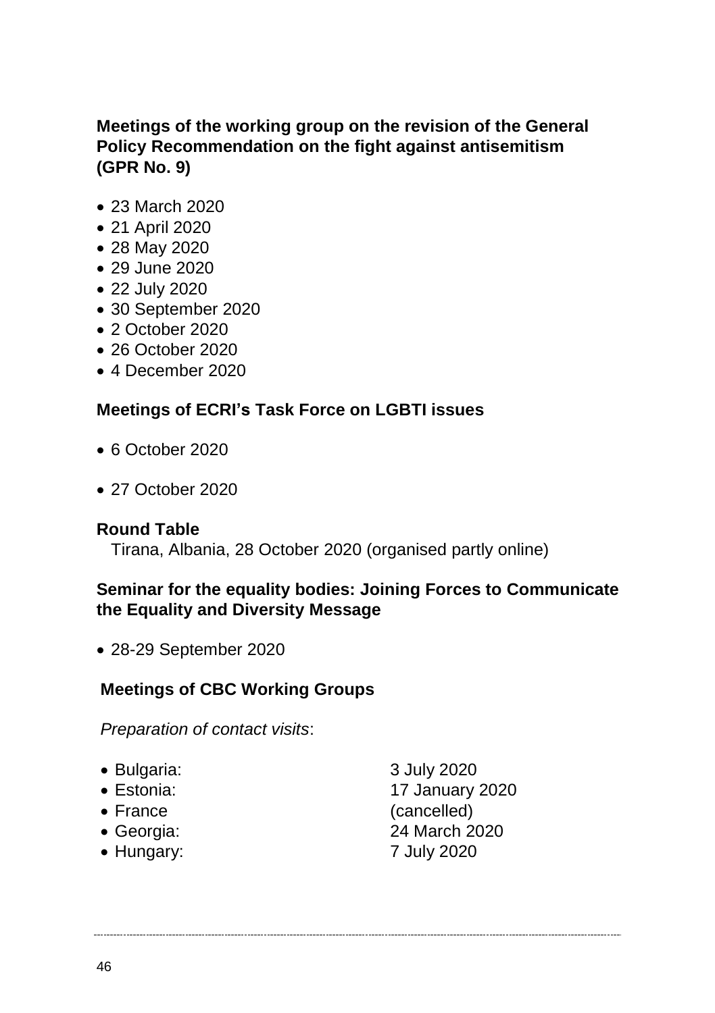#### **Meetings of the working group on the revision of the General Policy Recommendation on the fight against antisemitism (GPR No. 9)**

- 23 March 2020
- 21 April 2020
- 28 May 2020
- 29 June 2020
- 22 July 2020
- 30 September 2020
- 2 October 2020
- 26 October 2020
- 4 December 2020

#### **Meetings of ECRI's Task Force on LGBTI issues**

- 6 October 2020
- 27 October 2020

#### **Round Table**

Tirana, Albania, 28 October 2020 (organised partly online)

#### **Seminar for the equality bodies: Joining Forces to Communicate the Equality and Diversity Message**

28-29 September 2020

#### **Meetings of CBC Working Groups**

*Preparation of contact visits*:

- Bulgaria: 3 July 2020
- 
- 
- 
- Hungary: 7 July 2020

 Estonia: 17 January 2020 • France (cancelled) Georgia: 24 March 2020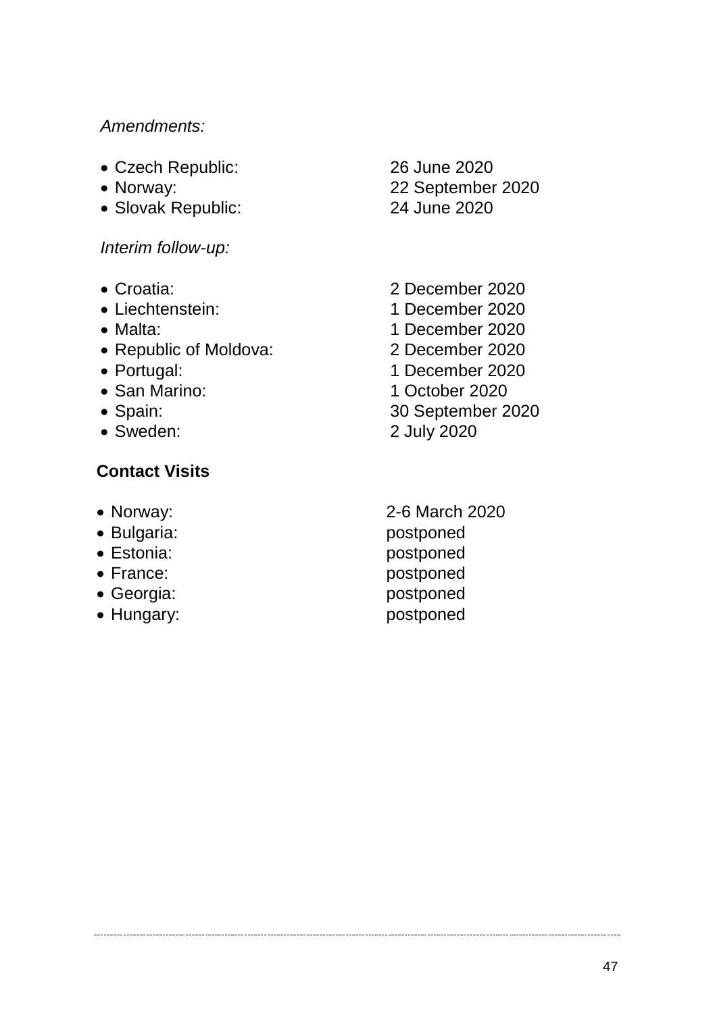#### *Amendments:*

- Czech Republic: 26 June 2020
- 
- Slovak Republic: 24 June 2020

*Interim follow-up:*

- 
- 
- 
- Republic of Moldova: 2 December 2020
- 
- 
- 
- 

#### **Contact Visits**

- 
- 
- 
- 
- 
- 

Norway: 22 September 2020

- Croatia: 2 December 2020 Liechtenstein: 1 December 2020 • Malta: 1 December 2020 Portugal: 1 December 2020 • San Marino: 1 October 2020 Spain: 30 September 2020 Sweden: 2 July 2020
- Norway: 2-6 March 2020 • Bulgaria: postponed Estonia: postponed France: postponed Georgia: postponed • Hungary: postponed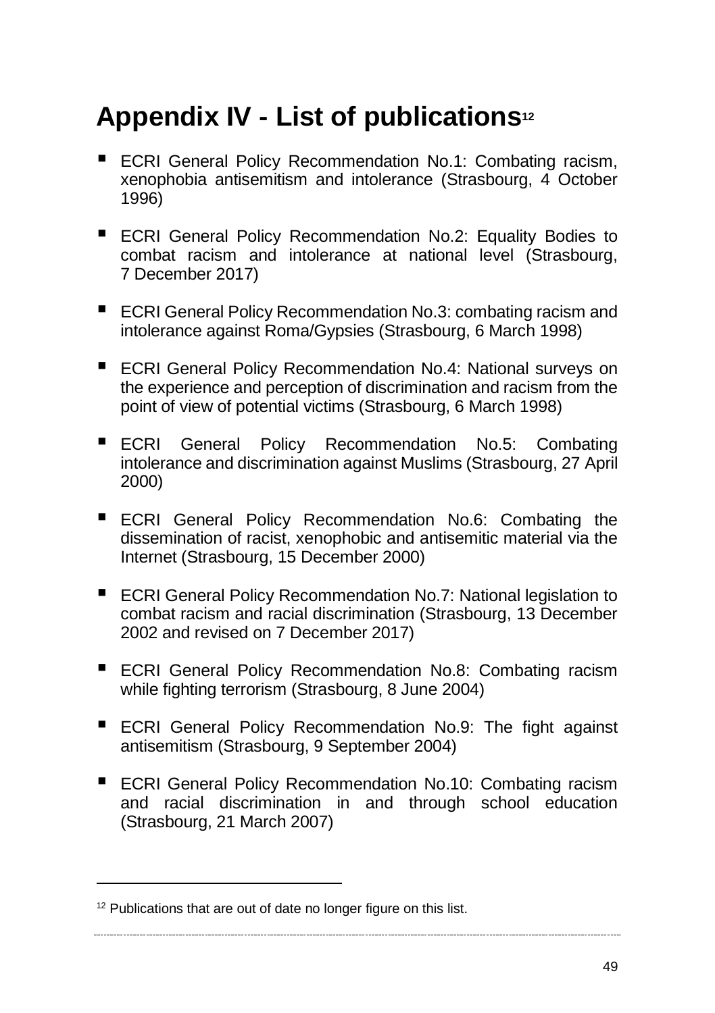# <span id="page-48-0"></span>**Appendix IV - List of publications<sup>12</sup>**

- ECRI General Policy Recommendation No.1: Combating racism, xenophobia antisemitism and intolerance (Strasbourg, 4 October 1996)
- ECRI General Policy Recommendation No.2: Equality Bodies to combat racism and intolerance at national level (Strasbourg, 7 December 2017)
- ECRI General Policy Recommendation No.3: combating racism and intolerance against Roma/Gypsies (Strasbourg, 6 March 1998)
- ECRI General Policy Recommendation No.4: National surveys on the experience and perception of discrimination and racism from the point of view of potential victims (Strasbourg, 6 March 1998)
- ECRI General Policy Recommendation No.5: Combating intolerance and discrimination against Muslims (Strasbourg, 27 April 2000)
- **ECRI General Policy Recommendation No.6: Combating the** dissemination of racist, xenophobic and antisemitic material via the Internet (Strasbourg, 15 December 2000)
- ECRI General Policy Recommendation No.7: National legislation to combat racism and racial discrimination (Strasbourg, 13 December 2002 and revised on 7 December 2017)
- ECRI General Policy Recommendation No.8: Combating racism while fighting terrorism (Strasbourg, 8 June 2004)
- **ECRI General Policy Recommendation No.9: The fight against** antisemitism (Strasbourg, 9 September 2004)
- ECRI General Policy Recommendation No.10: Combating racism and racial discrimination in and through school education (Strasbourg, 21 March 2007)

 $\overline{a}$ 

<sup>&</sup>lt;sup>12</sup> Publications that are out of date no longer figure on this list.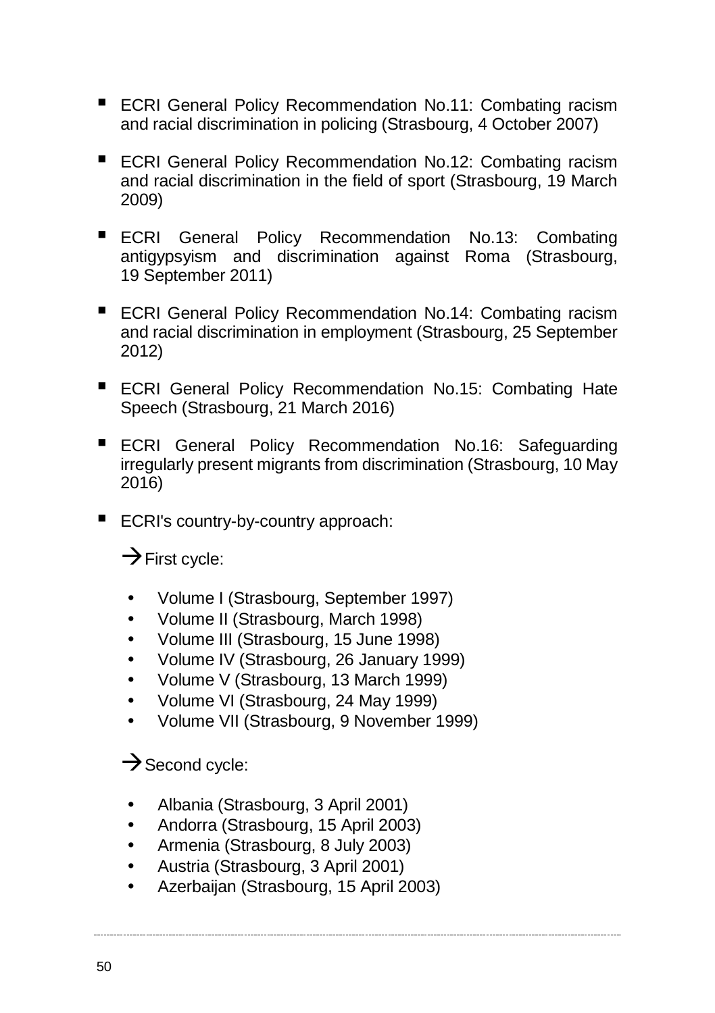- ECRI General Policy Recommendation No.11: Combating racism and racial discrimination in policing (Strasbourg, 4 October 2007)
- ECRI General Policy Recommendation No.12: Combating racism and racial discrimination in the field of sport (Strasbourg, 19 March 2009)
- ECRI General Policy Recommendation No.13: Combating antigypsyism and discrimination against Roma (Strasbourg, 19 September 2011)
- ECRI General Policy Recommendation No.14: Combating racism and racial discrimination in employment (Strasbourg, 25 September 2012)
- ECRI General Policy Recommendation No.15: Combating Hate Speech (Strasbourg, 21 March 2016)
- ECRI General Policy Recommendation No.16: Safeguarding irregularly present migrants from discrimination (Strasbourg, 10 May 2016)
- ECRI's country-by-country approach:

 $\rightarrow$  First cycle:

- Volume I (Strasbourg, September 1997)
- Volume II (Strasbourg, March 1998)
- Volume III (Strasbourg, 15 June 1998)
- Volume IV (Strasbourg, 26 January 1999)
- Volume V (Strasbourg, 13 March 1999)
- Volume VI (Strasbourg, 24 May 1999)
- Volume VII (Strasbourg, 9 November 1999)

#### $\rightarrow$  Second cycle:

- Albania (Strasbourg, 3 April 2001)
- Andorra (Strasbourg, 15 April 2003)
- Armenia (Strasbourg, 8 July 2003)
- Austria (Strasbourg, 3 April 2001)
- Azerbaijan (Strasbourg, 15 April 2003)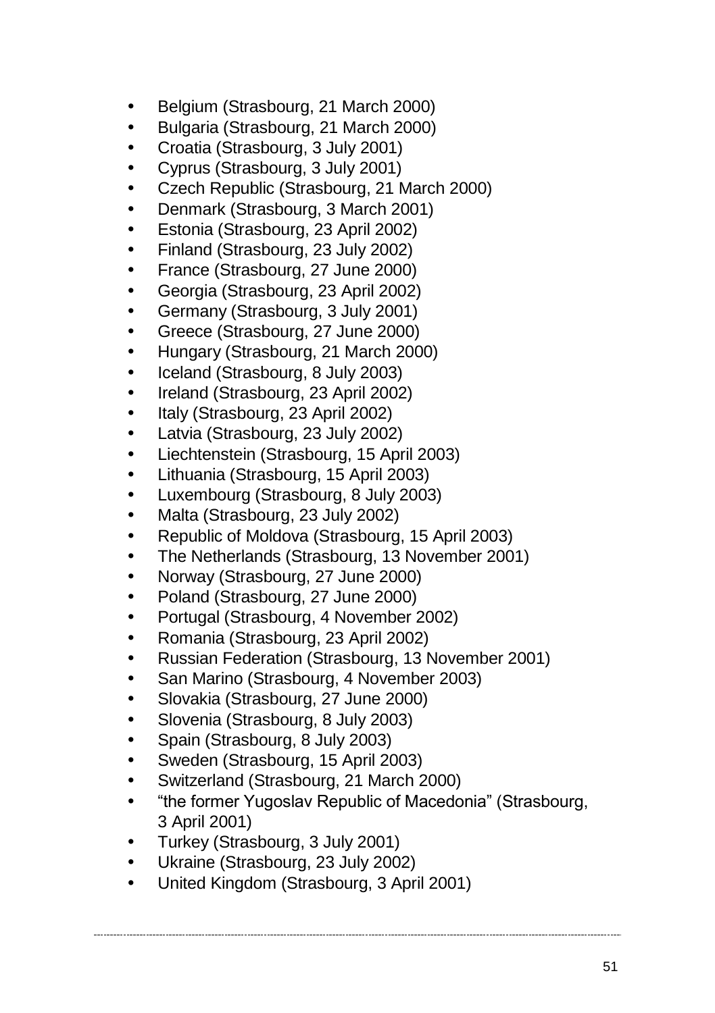- Belgium (Strasbourg, 21 March 2000)
- Bulgaria (Strasbourg, 21 March 2000)
- Croatia (Strasbourg, 3 July 2001)
- Cyprus (Strasbourg, 3 July 2001)
- Czech Republic (Strasbourg, 21 March 2000)
- Denmark (Strasbourg, 3 March 2001)
- Estonia (Strasbourg, 23 April 2002)
- Finland (Strasbourg, 23 July 2002)
- France (Strasbourg, 27 June 2000)
- Georgia (Strasbourg, 23 April 2002)
- Germany (Strasbourg, 3 July 2001)
- Greece (Strasbourg, 27 June 2000)
- Hungary (Strasbourg, 21 March 2000)
- Iceland (Strasbourg, 8 July 2003)
- Ireland (Strasbourg, 23 April 2002)
- Italy (Strasbourg, 23 April 2002)
- Latvia (Strasbourg, 23 July 2002)
- Liechtenstein (Strasbourg, 15 April 2003)
- Lithuania (Strasbourg, 15 April 2003)
- Luxembourg (Strasbourg, 8 July 2003)
- Malta (Strasbourg, 23 July 2002)
- Republic of Moldova (Strasbourg, 15 April 2003)
- The Netherlands (Strasbourg, 13 November 2001)
- Norway (Strasbourg, 27 June 2000)
- Poland (Strasbourg, 27 June 2000)
- Portugal (Strasbourg, 4 November 2002)
- Romania (Strasbourg, 23 April 2002)
- Russian Federation (Strasbourg, 13 November 2001)
- San Marino (Strasbourg, 4 November 2003)
- Slovakia (Strasbourg, 27 June 2000)
- Slovenia (Strasbourg, 8 July 2003)
- Spain (Strasbourg, 8 July 2003)
- Sweden (Strasbourg, 15 April 2003)
- Switzerland (Strasbourg, 21 March 2000)
- "the former Yugoslav Republic of Macedonia" (Strasbourg, 3 April 2001)
- Turkey (Strasbourg, 3 July 2001)
- Ukraine (Strasbourg, 23 July 2002)
- United Kingdom (Strasbourg, 3 April 2001)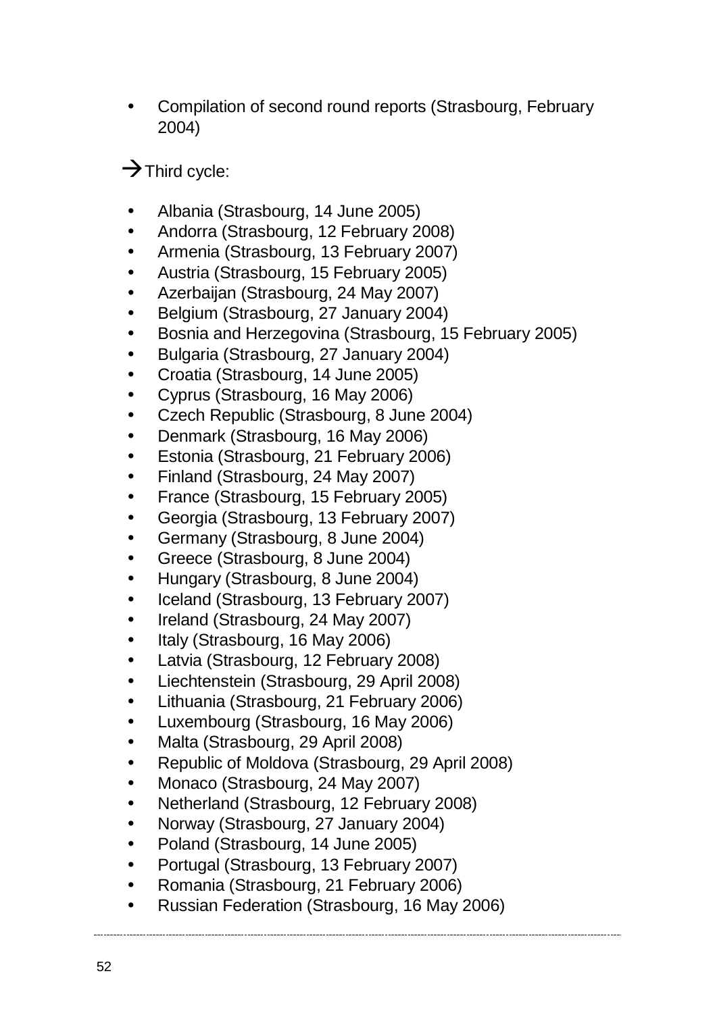Compilation of second round reports (Strasbourg, February 2004)

 $\rightarrow$  Third cycle:

- Albania (Strasbourg, 14 June 2005)
- Andorra (Strasbourg, 12 February 2008)
- Armenia (Strasbourg, 13 February 2007)
- Austria (Strasbourg, 15 February 2005)
- Azerbaijan (Strasbourg, 24 May 2007)
- **Belgium (Strasbourg, 27 January 2004)**
- Bosnia and Herzegovina (Strasbourg, 15 February 2005)
- Bulgaria (Strasbourg, 27 January 2004)
- Croatia (Strasbourg, 14 June 2005)
- Cyprus (Strasbourg, 16 May 2006)
- Czech Republic (Strasbourg, 8 June 2004)
- Denmark (Strasbourg, 16 May 2006)
- Estonia (Strasbourg, 21 February 2006)
- Finland (Strasbourg, 24 May 2007)
- France (Strasbourg, 15 February 2005)
- Georgia (Strasbourg, 13 February 2007)
- Germany (Strasbourg, 8 June 2004)
- Greece (Strasbourg, 8 June 2004)
- Hungary (Strasbourg, 8 June 2004)
- Iceland (Strasbourg, 13 February 2007)
- Ireland (Strasbourg, 24 May 2007)
- Italy (Strasbourg, 16 May 2006)
- Latvia (Strasbourg, 12 February 2008)
- Liechtenstein (Strasbourg, 29 April 2008)
- Lithuania (Strasbourg, 21 February 2006)
- Luxembourg (Strasbourg, 16 May 2006)
- Malta (Strasbourg, 29 April 2008)
- Republic of Moldova (Strasbourg, 29 April 2008)
- Monaco (Strasbourg, 24 May 2007)
- Netherland (Strasbourg, 12 February 2008)
- Norway (Strasbourg, 27 January 2004)
- Poland (Strasbourg, 14 June 2005)
- Portugal (Strasbourg, 13 February 2007)
- Romania (Strasbourg, 21 February 2006)
- Russian Federation (Strasbourg, 16 May 2006)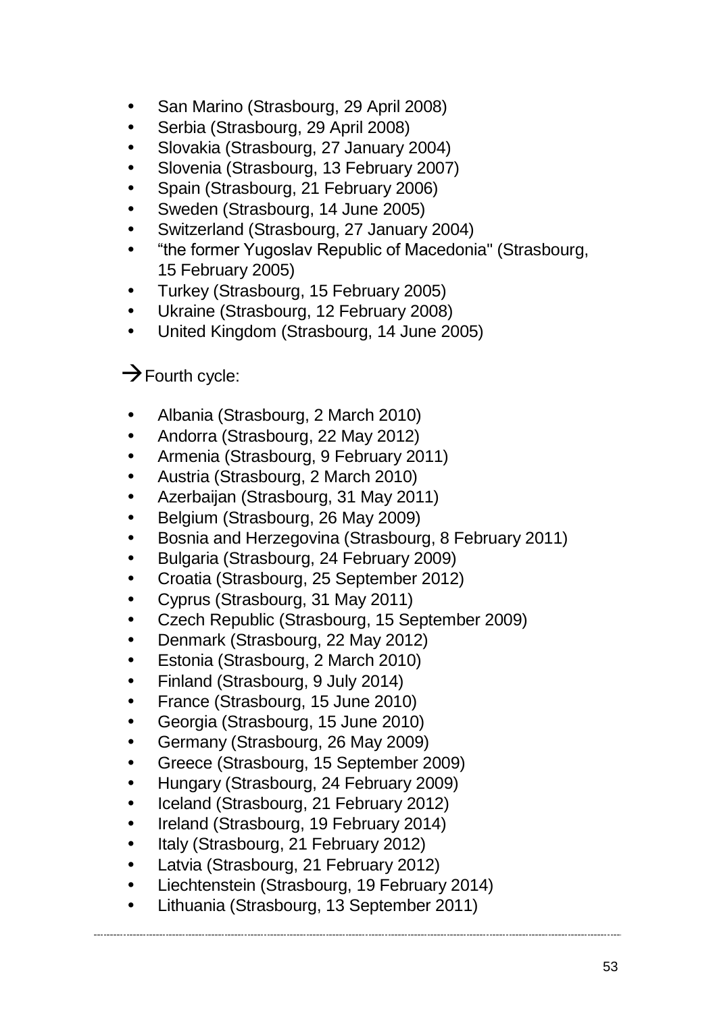- San Marino (Strasbourg, 29 April 2008)
- Serbia (Strasbourg, 29 April 2008)
- Slovakia (Strasbourg, 27 January 2004)
- Slovenia (Strasbourg, 13 February 2007)
- Spain (Strasbourg, 21 February 2006)
- Sweden (Strasbourg, 14 June 2005)
- Switzerland (Strasbourg, 27 January 2004)
- "the former Yugoslav Republic of Macedonia" (Strasbourg, 15 February 2005)
- Turkey (Strasbourg, 15 February 2005)
- Ukraine (Strasbourg, 12 February 2008)
- United Kingdom (Strasbourg, 14 June 2005)

### $\rightarrow$  Fourth cycle:

- Albania (Strasbourg, 2 March 2010)
- Andorra (Strasbourg, 22 May 2012)
- Armenia (Strasbourg, 9 February 2011)
- Austria (Strasbourg, 2 March 2010)
- Azerbaijan (Strasbourg, 31 May 2011)
- Belgium (Strasbourg, 26 May 2009)
- Bosnia and Herzegovina (Strasbourg, 8 February 2011)
- Bulgaria (Strasbourg, 24 February 2009)
- Croatia (Strasbourg, 25 September 2012)
- Cyprus (Strasbourg, 31 May 2011)
- Czech Republic (Strasbourg, 15 September 2009)
- Denmark (Strasbourg, 22 May 2012)
- Estonia (Strasbourg, 2 March 2010)
- Finland (Strasbourg, 9 July 2014)
- France (Strasbourg, 15 June 2010)
- Georgia (Strasbourg, 15 June 2010)
- Germany (Strasbourg, 26 May 2009)
- Greece (Strasbourg, 15 September 2009)
- Hungary (Strasbourg, 24 February 2009)
- Iceland (Strasbourg, 21 February 2012)
- Ireland (Strasbourg, 19 February 2014)
- Italy (Strasbourg, 21 February 2012)
- Latvia (Strasbourg, 21 February 2012)
- Liechtenstein (Strasbourg, 19 February 2014)
- Lithuania (Strasbourg, 13 September 2011)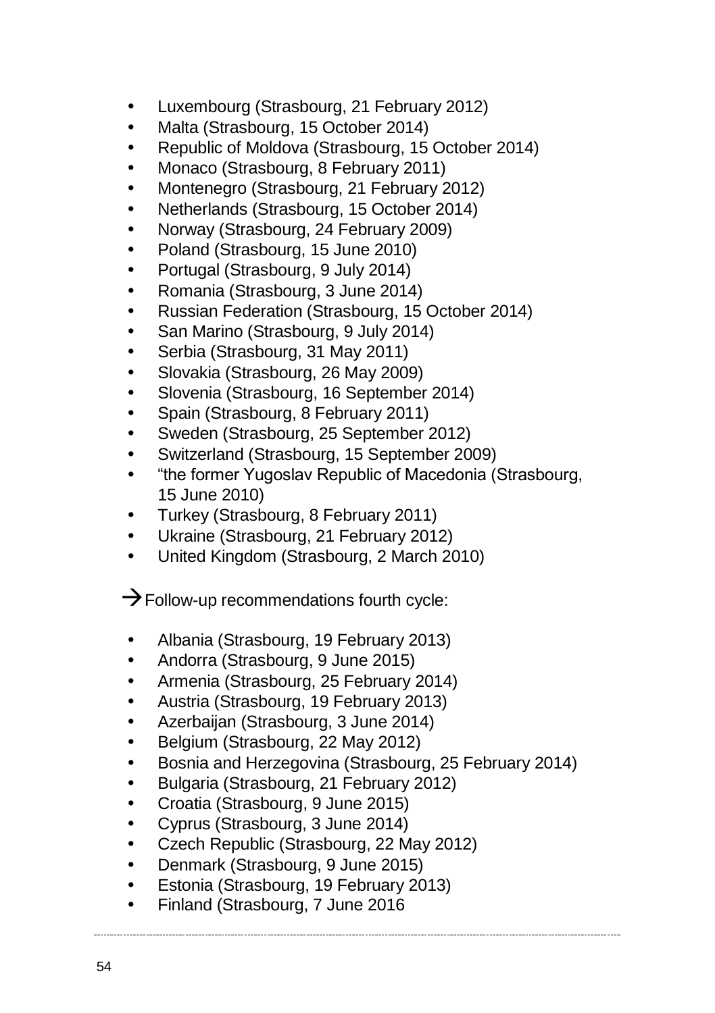- Luxembourg (Strasbourg, 21 February 2012)
- Malta (Strasbourg, 15 October 2014)
- Republic of Moldova (Strasbourg, 15 October 2014)
- Monaco (Strasbourg, 8 February 2011)
- Montenegro (Strasbourg, 21 February 2012)
- Netherlands (Strasbourg, 15 October 2014)
- Norway (Strasbourg, 24 February 2009)
- Poland (Strasbourg, 15 June 2010)
- Portugal (Strasbourg, 9 July 2014)
- Romania (Strasbourg, 3 June 2014)
- Russian Federation (Strasbourg, 15 October 2014)
- San Marino (Strasbourg, 9 July 2014)
- Serbia (Strasbourg, 31 May 2011)
- Slovakia (Strasbourg, 26 May 2009)
- Slovenia (Strasbourg, 16 September 2014)
- Spain (Strasbourg, 8 February 2011)
- Sweden (Strasbourg, 25 September 2012)
- Switzerland (Strasbourg, 15 September 2009)
- "the former Yugoslav Republic of Macedonia (Strasbourg, 15 June 2010)
- Turkey (Strasbourg, 8 February 2011)
- Ukraine (Strasbourg, 21 February 2012)
- United Kingdom (Strasbourg, 2 March 2010)

 $\rightarrow$  Follow-up recommendations fourth cycle:

- Albania (Strasbourg, 19 February 2013)
- Andorra (Strasbourg, 9 June 2015)
- Armenia (Strasbourg, 25 February 2014)
- Austria (Strasbourg, 19 February 2013)
- Azerbaijan (Strasbourg, 3 June 2014)
- Belgium (Strasbourg, 22 May 2012)
- Bosnia and Herzegovina (Strasbourg, 25 February 2014)
- Bulgaria (Strasbourg, 21 February 2012)
- Croatia (Strasbourg, 9 June 2015)
- Cyprus (Strasbourg, 3 June 2014)
- Czech Republic (Strasbourg, 22 May 2012)
- Denmark (Strasbourg, 9 June 2015)
- Estonia (Strasbourg, 19 February 2013)
- Finland (Strasbourg, 7 June 2016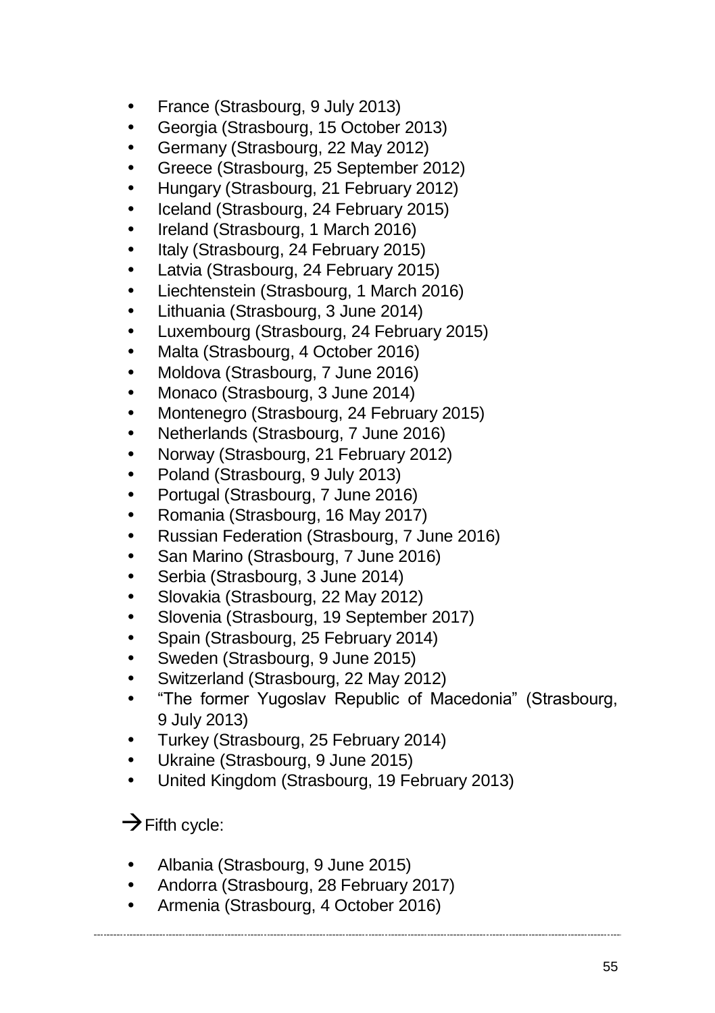- France (Strasbourg, 9 July 2013)
- Georgia (Strasbourg, 15 October 2013)
- Germany (Strasbourg, 22 May 2012)
- Greece (Strasbourg, 25 September 2012)
- Hungary (Strasbourg, 21 February 2012)
- Iceland (Strasbourg, 24 February 2015)
- Ireland (Strasbourg, 1 March 2016)
- Italy (Strasbourg, 24 February 2015)
- Latvia (Strasbourg, 24 February 2015)
- Liechtenstein (Strasbourg, 1 March 2016)
- Lithuania (Strasbourg, 3 June 2014)
- Luxembourg (Strasbourg, 24 February 2015)
- Malta (Strasbourg, 4 October 2016)
- Moldova (Strasbourg, 7 June 2016)
- Monaco (Strasbourg, 3 June 2014)
- Montenegro (Strasbourg, 24 February 2015)
- Netherlands (Strasbourg, 7 June 2016)
- Norway (Strasbourg, 21 February 2012)
- Poland (Strasbourg, 9 July 2013)
- Portugal (Strasbourg, 7 June 2016)
- Romania (Strasbourg, 16 May 2017)
- Russian Federation (Strasbourg, 7 June 2016)
- San Marino (Strasbourg, 7 June 2016)
- Serbia (Strasbourg, 3 June 2014)
- Slovakia (Strasbourg, 22 May 2012)
- Slovenia (Strasbourg, 19 September 2017)
- Spain (Strasbourg, 25 February 2014)
- Sweden (Strasbourg, 9 June 2015)
- Switzerland (Strasbourg, 22 May 2012)
- "The former Yugoslav Republic of Macedonia" (Strasbourg, 9 July 2013)
- Turkey (Strasbourg, 25 February 2014)
- Ukraine (Strasbourg, 9 June 2015)
- United Kingdom (Strasbourg, 19 February 2013)

### $\rightarrow$  Fifth cycle:

- Albania (Strasbourg, 9 June 2015)
- Andorra (Strasbourg, 28 February 2017)
- Armenia (Strasbourg, 4 October 2016)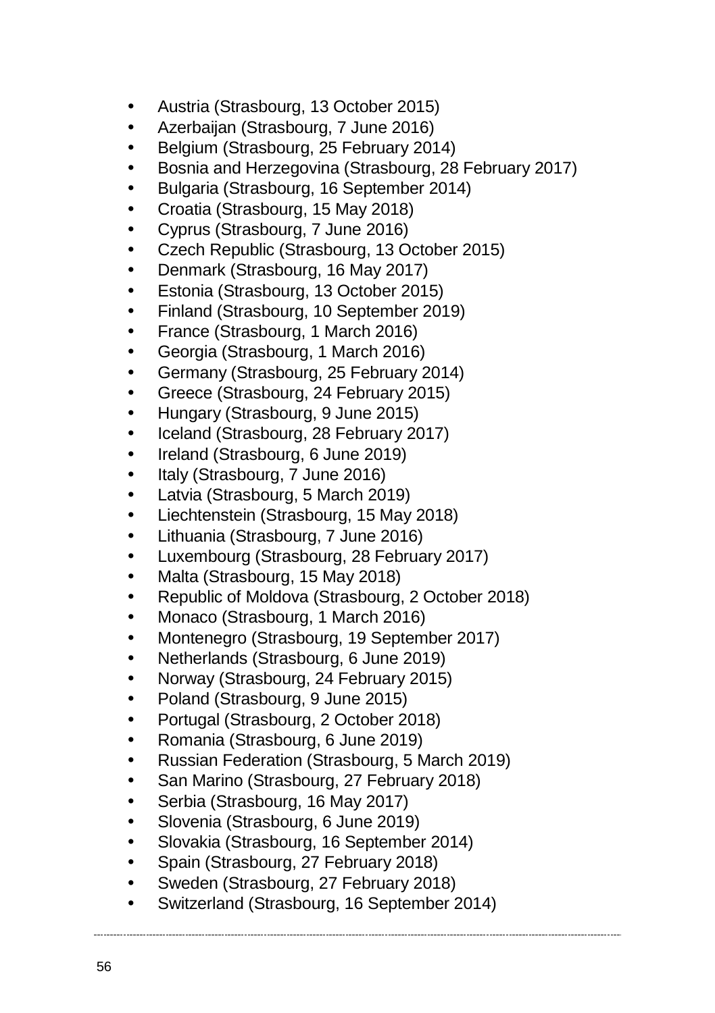- Austria (Strasbourg, 13 October 2015)
- Azerbaijan (Strasbourg, 7 June 2016)
- Belgium (Strasbourg, 25 February 2014)
- Bosnia and Herzegovina (Strasbourg, 28 February 2017)
- Bulgaria (Strasbourg, 16 September 2014)
- Croatia (Strasbourg, 15 May 2018)
- Cyprus (Strasbourg, 7 June 2016)
- Czech Republic (Strasbourg, 13 October 2015)
- Denmark (Strasbourg, 16 May 2017)
- Estonia (Strasbourg, 13 October 2015)
- Finland (Strasbourg, 10 September 2019)
- France (Strasbourg, 1 March 2016)
- Georgia (Strasbourg, 1 March 2016)
- Germany (Strasbourg, 25 February 2014)
- Greece (Strasbourg, 24 February 2015)
- Hungary (Strasbourg, 9 June 2015)
- Iceland (Strasbourg, 28 February 2017)
- Ireland (Strasbourg, 6 June 2019)
- Italy (Strasbourg, 7 June 2016)
- Latvia (Strasbourg, 5 March 2019)
- Liechtenstein (Strasbourg, 15 May 2018)
- Lithuania (Strasbourg, 7 June 2016)
- Luxembourg (Strasbourg, 28 February 2017)
- Malta (Strasbourg, 15 May 2018)
- Republic of Moldova (Strasbourg, 2 October 2018)
- Monaco (Strasbourg, 1 March 2016)
- Montenegro (Strasbourg, 19 September 2017)
- Netherlands (Strasbourg, 6 June 2019)
- Norway (Strasbourg, 24 February 2015)
- Poland (Strasbourg, 9 June 2015)
- Portugal (Strasbourg, 2 October 2018)
- Romania (Strasbourg, 6 June 2019)
- Russian Federation (Strasbourg, 5 March 2019)
- San Marino (Strasbourg, 27 February 2018)
- Serbia (Strasbourg, 16 May 2017)
- Slovenia (Strasbourg, 6 June 2019)
- Slovakia (Strasbourg, 16 September 2014)
- Spain (Strasbourg, 27 February 2018)
- Sweden (Strasbourg, 27 February 2018)
- Switzerland (Strasbourg, 16 September 2014)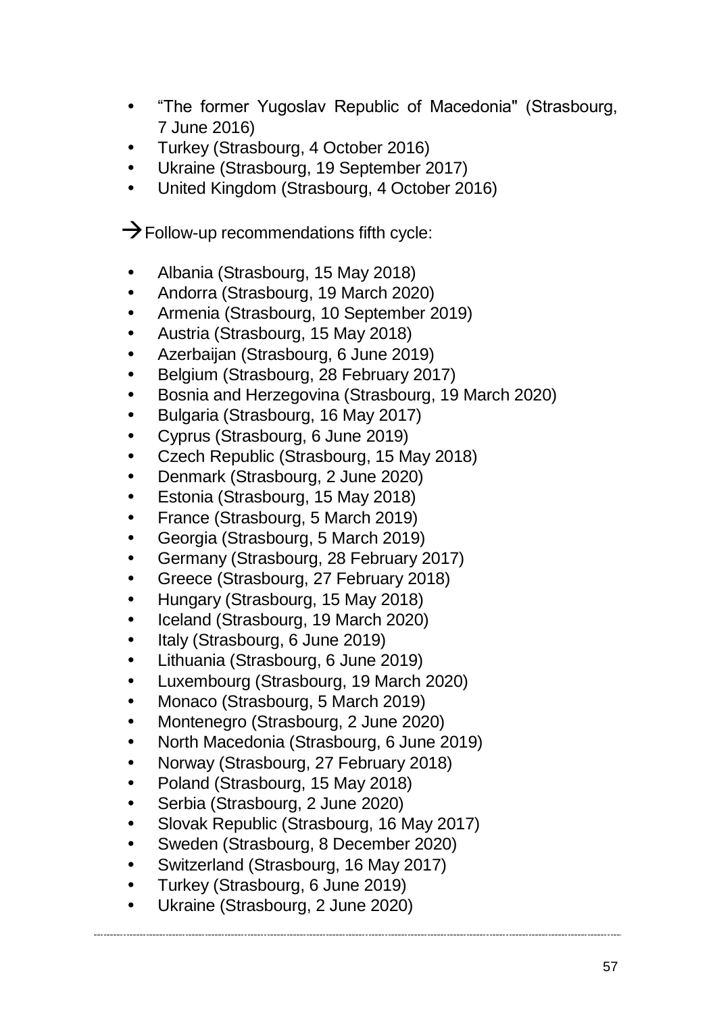- "The former Yugoslav Republic of Macedonia" (Strasbourg, 7 June 2016)
- Turkey (Strasbourg, 4 October 2016)
- Ukraine (Strasbourg, 19 September 2017)
- United Kingdom (Strasbourg, 4 October 2016)

 $\rightarrow$  Follow-up recommendations fifth cycle:

- Albania (Strasbourg, 15 May 2018)
- Andorra (Strasbourg, 19 March 2020)
- Armenia (Strasbourg, 10 September 2019)
- Austria (Strasbourg, 15 May 2018)
- Azerbaijan (Strasbourg, 6 June 2019)
- Belgium (Strasbourg, 28 February 2017)
- Bosnia and Herzegovina (Strasbourg, 19 March 2020)
- Bulgaria (Strasbourg, 16 May 2017)
- Cyprus (Strasbourg, 6 June 2019)
- Czech Republic (Strasbourg, 15 May 2018)
- Denmark (Strasbourg, 2 June 2020)
- Estonia (Strasbourg, 15 May 2018)
- France (Strasbourg, 5 March 2019)
- Georgia (Strasbourg, 5 March 2019)
- Germany (Strasbourg, 28 February 2017)
- Greece (Strasbourg, 27 February 2018)
- Hungary (Strasbourg, 15 May 2018)
- Iceland (Strasbourg, 19 March 2020)
- Italy (Strasbourg, 6 June 2019)
- Lithuania (Strasbourg, 6 June 2019)
- Luxembourg (Strasbourg, 19 March 2020)
- Monaco (Strasbourg, 5 March 2019)
- Montenegro (Strasbourg, 2 June 2020)
- North Macedonia (Strasbourg, 6 June 2019)
- Norway (Strasbourg, 27 February 2018)
- Poland (Strasbourg, 15 May 2018)
- Serbia (Strasbourg, 2 June 2020)
- Slovak Republic (Strasbourg, 16 May 2017)
- Sweden (Strasbourg, 8 December 2020)
- Switzerland (Strasbourg, 16 May 2017)
- Turkey (Strasbourg, 6 June 2019)
- Ukraine (Strasbourg, 2 June 2020)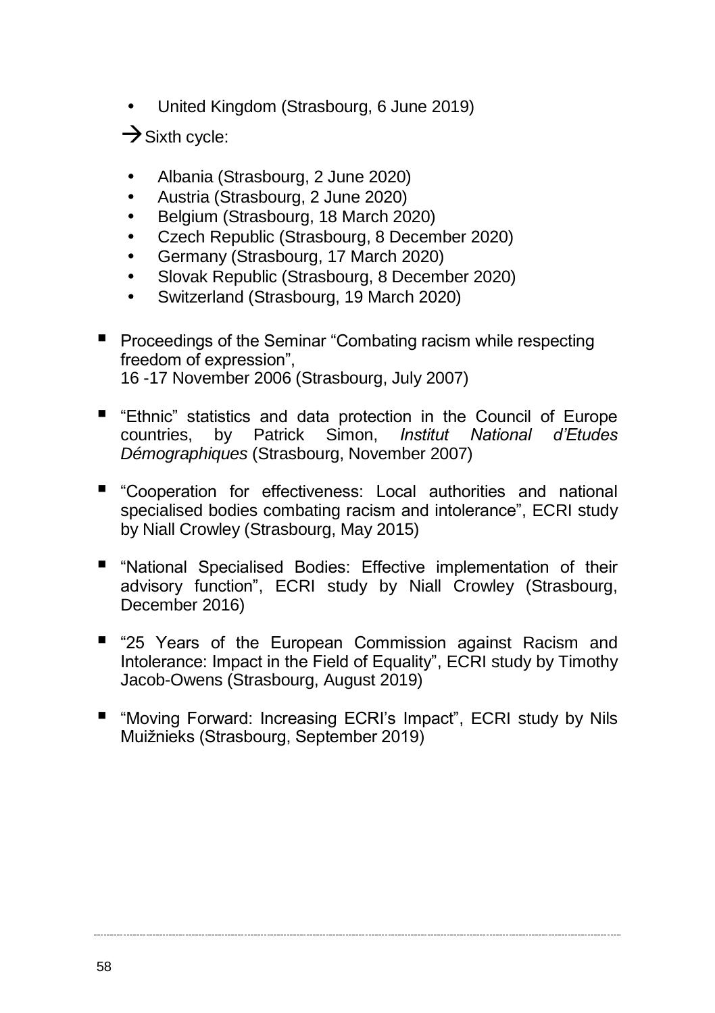United Kingdom (Strasbourg, 6 June 2019)

 $\rightarrow$  Sixth cycle:

- Albania (Strasbourg, 2 June 2020)
- Austria (Strasbourg, 2 June 2020)
- Belgium (Strasbourg, 18 March 2020)
- Czech Republic (Strasbourg, 8 December 2020)
- Germany (Strasbourg, 17 March 2020)
- Slovak Republic (Strasbourg, 8 December 2020)
- Switzerland (Strasbourg, 19 March 2020)
- **Peroceedings of the Seminar "Combating racism while respecting** freedom of expression", 16 -17 November 2006 (Strasbourg, July 2007)
- "Ethnic" statistics and data protection in the Council of Europe countries, by Patrick Simon, *Institut National d'Etudes Démographiques* (Strasbourg, November 2007)
- "Cooperation for effectiveness: Local authorities and national specialised bodies combating racism and intolerance", ECRI study by Niall Crowley (Strasbourg, May 2015)
- "National Specialised Bodies: Effective implementation of their advisory function", ECRI study by Niall Crowley (Strasbourg, December 2016)
- "25 Years of the European Commission against Racism and Intolerance: Impact in the Field of Equality", ECRI study by Timothy Jacob-Owens (Strasbourg, August 2019)
- "Moving Forward: Increasing ECRI's Impact", ECRI study by Nils Muižnieks (Strasbourg, September 2019)